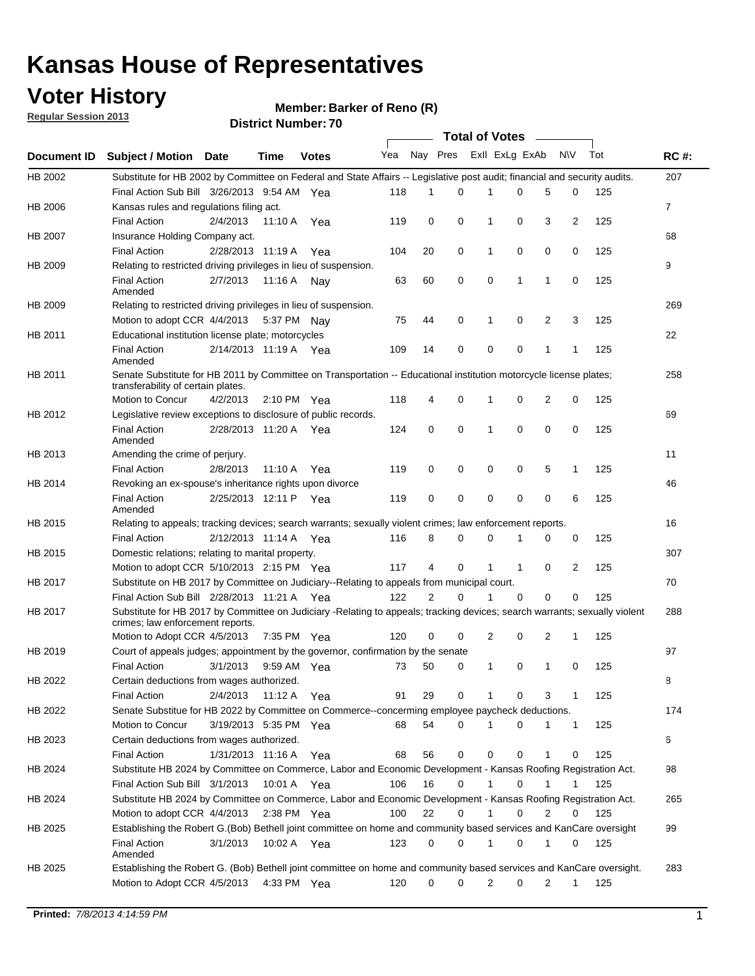## **Voter History**

**Member: Barker of Reno (R)** 

**Regular Session 2013**

|                    |                                                                                                                                                                |                       | ט <i>ו</i> אווווטנו שטוווער |              |              |    | Total of Votes – |              |                |                |              |     |                |
|--------------------|----------------------------------------------------------------------------------------------------------------------------------------------------------------|-----------------------|-----------------------------|--------------|--------------|----|------------------|--------------|----------------|----------------|--------------|-----|----------------|
| <b>Document ID</b> | <b>Subject / Motion Date</b>                                                                                                                                   |                       | Time                        | <b>Votes</b> | Yea Nay Pres |    |                  |              | Exll ExLg ExAb |                | N\V          | Tot | <b>RC#:</b>    |
| HB 2002            | Substitute for HB 2002 by Committee on Federal and State Affairs -- Legislative post audit; financial and security audits.                                     |                       |                             |              |              |    |                  |              |                |                |              |     | 207            |
|                    | Final Action Sub Bill 3/26/2013 9:54 AM Yea                                                                                                                    |                       |                             |              | 118          | 1  | $\Omega$         |              | 0              | 5              | 0            | 125 |                |
| HB 2006            | Kansas rules and regulations filing act.                                                                                                                       |                       |                             |              |              |    |                  |              |                |                |              |     | $\overline{7}$ |
|                    | <b>Final Action</b>                                                                                                                                            | 2/4/2013              | 11:10 A Yea                 |              | 119          | 0  | 0                | 1            | 0              | 3              | 2            | 125 |                |
| HB 2007            | Insurance Holding Company act.                                                                                                                                 |                       |                             |              |              |    |                  |              |                |                |              |     | 68             |
|                    | <b>Final Action</b>                                                                                                                                            | 2/28/2013 11:19 A     |                             | Yea          | 104          | 20 | 0                | 1            | 0              | 0              | 0            | 125 |                |
| HB 2009            | Relating to restricted driving privileges in lieu of suspension.                                                                                               |                       |                             |              |              |    |                  |              |                |                |              |     | 9              |
|                    | <b>Final Action</b><br>Amended                                                                                                                                 | 2/7/2013              | 11:16 A Nay                 |              | 63           | 60 | 0                | 0            | 1              | 1              | 0            | 125 |                |
| HB 2009            | Relating to restricted driving privileges in lieu of suspension.                                                                                               |                       |                             |              |              |    |                  |              |                |                |              |     | 269            |
|                    | Motion to adopt CCR 4/4/2013                                                                                                                                   |                       | 5:37 PM Nay                 |              | 75           | 44 | 0                | 1            | 0              | 2              | 3            | 125 |                |
| HB 2011            | Educational institution license plate; motorcycles                                                                                                             |                       |                             |              |              |    |                  |              |                |                |              |     | 22             |
|                    | <b>Final Action</b><br>Amended                                                                                                                                 | 2/14/2013 11:19 A Yea |                             |              | 109          | 14 | 0                | 0            | 0              | 1              | 1            | 125 |                |
| HB 2011            | Senate Substitute for HB 2011 by Committee on Transportation -- Educational institution motorcycle license plates;                                             |                       |                             |              |              |    |                  |              |                |                |              |     | 258            |
|                    | transferability of certain plates.                                                                                                                             |                       |                             |              |              |    |                  |              |                |                |              |     |                |
|                    | Motion to Concur                                                                                                                                               | 4/2/2013              | $2:10 \text{ PM}$ Yea       |              | 118          | 4  | 0                | $\mathbf 1$  | 0              | $\overline{2}$ | 0            | 125 |                |
| HB 2012            | Legislative review exceptions to disclosure of public records.                                                                                                 |                       |                             |              |              |    |                  |              |                |                |              |     | 69             |
|                    | <b>Final Action</b><br>Amended                                                                                                                                 | 2/28/2013 11:20 A Yea |                             |              | 124          | 0  | 0                | 1            | 0              | 0              | 0            | 125 |                |
| HB 2013            | Amending the crime of perjury.                                                                                                                                 |                       |                             |              |              |    |                  |              |                |                |              |     | 11             |
|                    | <b>Final Action</b>                                                                                                                                            | 2/8/2013              | 11:10 A                     | Yea          | 119          | 0  | 0                | 0            | 0              | 5              | 1            | 125 |                |
| HB 2014            | Revoking an ex-spouse's inheritance rights upon divorce                                                                                                        |                       |                             |              |              |    |                  |              |                |                |              |     | 46             |
|                    | <b>Final Action</b><br>Amended                                                                                                                                 | 2/25/2013 12:11 P     |                             | Yea          | 119          | 0  | $\mathbf 0$      | 0            | 0              | 0              | 6            | 125 |                |
| HB 2015            | Relating to appeals; tracking devices; search warrants; sexually violent crimes; law enforcement reports.                                                      |                       |                             |              |              |    |                  |              |                |                |              |     | 16             |
|                    | <b>Final Action</b>                                                                                                                                            | 2/12/2013 11:14 A     |                             | Yea          | 116          | 8  | 0                | 0            | 1              | 0              | 0            | 125 |                |
| HB 2015            | Domestic relations; relating to marital property.                                                                                                              |                       |                             |              |              |    |                  |              |                |                |              |     | 307            |
|                    | Motion to adopt CCR 5/10/2013 2:15 PM Yea                                                                                                                      |                       |                             |              | 117          | 4  | 0                | $\mathbf{1}$ | $\mathbf{1}$   | 0              | 2            | 125 |                |
| HB 2017            | Substitute on HB 2017 by Committee on Judiciary--Relating to appeals from municipal court.                                                                     |                       |                             |              |              |    |                  |              |                |                |              |     | 70             |
|                    | Final Action Sub Bill 2/28/2013 11:21 A Yea                                                                                                                    |                       |                             |              | 122          | 2  | 0                | 1            | 0              | 0              | 0            | 125 |                |
| HB 2017            | Substitute for HB 2017 by Committee on Judiciary -Relating to appeals; tracking devices; search warrants; sexually violent<br>crimes; law enforcement reports. |                       |                             |              |              |    |                  |              |                |                |              |     | 288            |
|                    | Motion to Adopt CCR 4/5/2013                                                                                                                                   |                       | 7:35 PM Yea                 |              | 120          | 0  | 0                | 2            | 0              | 2              | 1            | 125 |                |
| HB 2019            | Court of appeals judges; appointment by the governor, confirmation by the senate                                                                               |                       |                             |              |              |    |                  |              |                |                |              |     | 97             |
|                    | Final Action                                                                                                                                                   | 3/1/2013              | 9:59 AM Yea                 |              | 73           | 50 | 0                | 1            | 0              | 1              | 0            | 125 |                |
| HB 2022            | Certain deductions from wages authorized.                                                                                                                      |                       |                             |              |              |    |                  |              |                |                |              |     | 8              |
|                    | <b>Final Action</b>                                                                                                                                            | 2/4/2013              | 11:12 A                     | Yea          | 91           | 29 | 0                |              | 0              | 3              | 1            | 125 |                |
| HB 2022            | Senate Substitue for HB 2022 by Committee on Commerce--concerming employee paycheck deductions.                                                                |                       |                             |              |              |    |                  |              |                |                |              |     | 174            |
|                    | Motion to Concur                                                                                                                                               | 3/19/2013 5:35 PM Yea |                             |              | 68           | 54 | 0                | 1            | 0              | 1              | $\mathbf{1}$ | 125 |                |
| HB 2023            | Certain deductions from wages authorized.                                                                                                                      |                       |                             |              |              |    |                  |              |                |                |              |     | 6              |
|                    | Final Action                                                                                                                                                   | 1/31/2013 11:16 A     |                             | Yea          | 68           | 56 | 0                | 0            | 0              | 1              | 0            | 125 |                |
| HB 2024            | Substitute HB 2024 by Committee on Commerce, Labor and Economic Development - Kansas Roofing Registration Act.                                                 |                       |                             |              |              |    |                  |              |                |                |              |     | 98             |
|                    | Final Action Sub Bill 3/1/2013                                                                                                                                 |                       | 10:01 A Yea                 |              | 106          | 16 | 0                | 1            | 0              | 1              | 1            | 125 |                |
| HB 2024            | Substitute HB 2024 by Committee on Commerce, Labor and Economic Development - Kansas Roofing Registration Act.                                                 |                       |                             |              |              |    |                  |              |                |                |              |     | 265            |
|                    | Motion to adopt CCR 4/4/2013                                                                                                                                   |                       | 2:38 PM Yea                 |              | 100          | 22 | 0                | 1            | 0              | 2              | 0            | 125 |                |
| HB 2025            | Establishing the Robert G.(Bob) Bethell joint committee on home and community based services and KanCare oversight                                             |                       |                             |              |              |    |                  |              |                |                |              |     | 99             |
|                    | <b>Final Action</b><br>Amended                                                                                                                                 | 3/1/2013              | 10:02 A Yea                 |              | 123          | 0  | 0                | $\mathbf{1}$ | 0              | 1              | 0            | 125 |                |
| HB 2025            | Establishing the Robert G. (Bob) Bethell joint committee on home and community based services and KanCare oversight.                                           |                       |                             |              |              |    |                  |              |                |                |              |     | 283            |
|                    | Motion to Adopt CCR 4/5/2013                                                                                                                                   |                       | 4:33 PM Yea                 |              | 120          | 0  | 0                | 2            | 0              | 2              | $\mathbf{1}$ | 125 |                |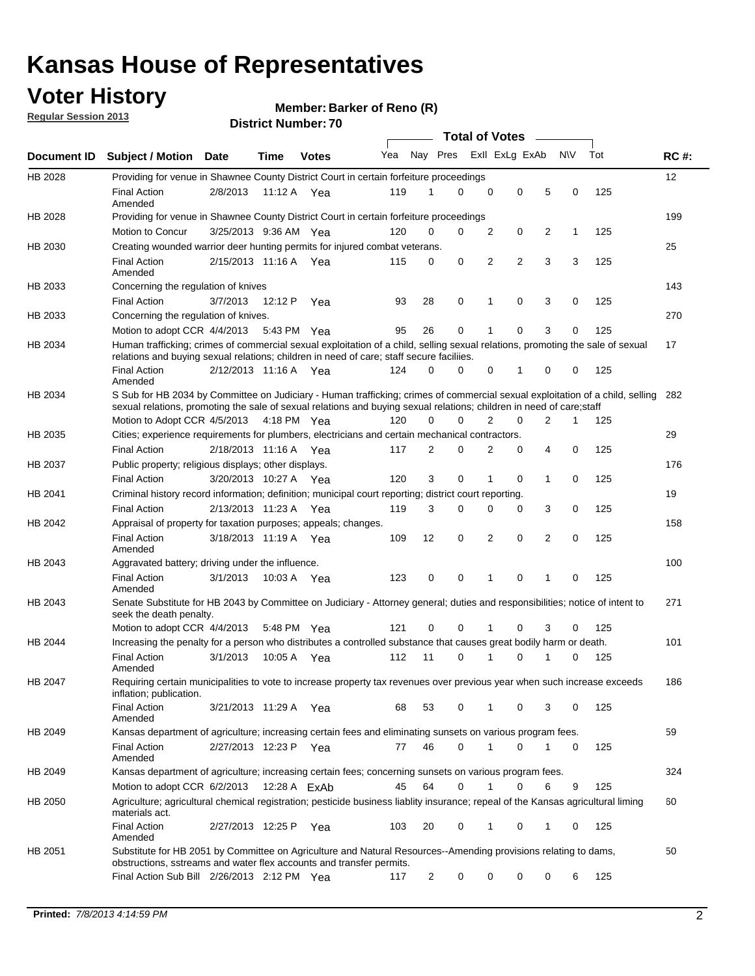## **Voter History**

**Member: Barker of Reno (R)** 

**Regular Session 2013**

|                    |                                                                                                                                                                                                                                                       |                       |         |              |     |                         | <b>Total of Votes</b> |                |   |                |           |     |             |
|--------------------|-------------------------------------------------------------------------------------------------------------------------------------------------------------------------------------------------------------------------------------------------------|-----------------------|---------|--------------|-----|-------------------------|-----------------------|----------------|---|----------------|-----------|-----|-------------|
| <b>Document ID</b> | <b>Subject / Motion Date</b>                                                                                                                                                                                                                          |                       | Time    | <b>Votes</b> | Yea | Nay Pres Exll ExLg ExAb |                       |                |   |                | <b>NV</b> | Tot | <b>RC#:</b> |
| HB 2028            | Providing for venue in Shawnee County District Court in certain forfeiture proceedings                                                                                                                                                                |                       |         |              |     |                         |                       |                |   |                |           |     | 12          |
|                    | <b>Final Action</b><br>Amended                                                                                                                                                                                                                        | 2/8/2013              | 11:12 A | Yea          | 119 | 1                       | 0                     | 0              | 0 | 5              | 0         | 125 |             |
| HB 2028            | Providing for venue in Shawnee County District Court in certain forfeiture proceedings                                                                                                                                                                |                       |         |              |     |                         |                       |                |   |                |           |     | 199         |
|                    | Motion to Concur                                                                                                                                                                                                                                      | 3/25/2013 9:36 AM Yea |         |              | 120 | 0                       | 0                     | 2              | 0 | 2              | 1         | 125 |             |
| HB 2030            | Creating wounded warrior deer hunting permits for injured combat veterans.                                                                                                                                                                            |                       |         |              |     |                         |                       |                |   |                |           |     | 25          |
|                    | <b>Final Action</b><br>Amended                                                                                                                                                                                                                        | 2/15/2013 11:16 A Yea |         |              | 115 | 0                       | 0                     | 2              | 2 | 3              | 3         | 125 |             |
| HB 2033            | Concerning the regulation of knives                                                                                                                                                                                                                   |                       |         |              |     |                         |                       |                |   |                |           |     | 143         |
|                    | <b>Final Action</b>                                                                                                                                                                                                                                   | 3/7/2013              | 12:12 P | Yea          | 93  | 28                      | 0                     | 1              | 0 | 3              | 0         | 125 |             |
| HB 2033            | Concerning the regulation of knives.                                                                                                                                                                                                                  |                       |         |              |     |                         |                       |                |   |                |           |     | 270         |
|                    | Motion to adopt CCR 4/4/2013                                                                                                                                                                                                                          |                       |         | 5:43 PM Yea  | 95  | 26                      | 0                     |                | 0 | 3              | 0         | 125 |             |
| HB 2034            | Human trafficking; crimes of commercial sexual exploitation of a child, selling sexual relations, promoting the sale of sexual<br>relations and buying sexual relations; children in need of care; staff secure faciliies.                            |                       |         |              |     |                         |                       |                |   |                |           |     | 17          |
|                    | <b>Final Action</b><br>Amended                                                                                                                                                                                                                        | 2/12/2013 11:16 A Yea |         |              | 124 | 0                       | 0                     | 0              | 1 | 0              | 0         | 125 |             |
| HB 2034            | S Sub for HB 2034 by Committee on Judiciary - Human trafficking; crimes of commercial sexual exploitation of a child, selling<br>sexual relations, promoting the sale of sexual relations and buying sexual relations; children in need of care;staff |                       |         |              |     |                         |                       |                |   |                |           |     | 282         |
|                    | Motion to Adopt CCR 4/5/2013 4:18 PM Yea                                                                                                                                                                                                              |                       |         |              | 120 | 0                       | 0                     | $\overline{2}$ | 0 | $\overline{2}$ | 1         | 125 |             |
| HB 2035            | Cities; experience requirements for plumbers, electricians and certain mechanical contractors.                                                                                                                                                        |                       |         |              |     |                         |                       |                |   |                |           |     | 29          |
|                    | <b>Final Action</b>                                                                                                                                                                                                                                   | 2/18/2013 11:16 A     |         | Yea          | 117 | 2                       | 0                     | 2              | 0 | 4              | 0         | 125 |             |
| HB 2037            | Public property; religious displays; other displays.                                                                                                                                                                                                  |                       |         |              |     |                         |                       |                |   |                |           |     | 176         |
|                    | <b>Final Action</b>                                                                                                                                                                                                                                   | 3/20/2013 10:27 A     |         | Yea          | 120 | 3                       | 0                     |                | 0 | 1              | 0         | 125 |             |
| HB 2041            | Criminal history record information; definition; municipal court reporting; district court reporting.                                                                                                                                                 |                       |         |              |     |                         |                       |                |   |                |           |     | 19          |
|                    | <b>Final Action</b>                                                                                                                                                                                                                                   | 2/13/2013 11:23 A     |         | Yea          | 119 | 3                       | 0                     | $\Omega$       | 0 | 3              | 0         | 125 |             |
| HB 2042            | Appraisal of property for taxation purposes; appeals; changes.                                                                                                                                                                                        |                       |         |              |     |                         |                       |                |   |                |           |     | 158         |
|                    | <b>Final Action</b><br>Amended                                                                                                                                                                                                                        | 3/18/2013 11:19 A Yea |         |              | 109 | 12                      | 0                     | 2              | 0 | 2              | 0         | 125 |             |
| HB 2043            | Aggravated battery; driving under the influence.                                                                                                                                                                                                      |                       |         |              |     |                         |                       |                |   |                |           |     | 100         |
|                    | <b>Final Action</b><br>Amended                                                                                                                                                                                                                        | 3/1/2013              |         | 10:03 A Yea  | 123 | 0                       | 0                     | 1              | 0 | 1              | 0         | 125 |             |
| HB 2043            | Senate Substitute for HB 2043 by Committee on Judiciary - Attorney general; duties and responsibilities; notice of intent to<br>seek the death penalty.                                                                                               |                       |         |              |     |                         |                       |                |   |                |           |     | 271         |
|                    | Motion to adopt CCR 4/4/2013                                                                                                                                                                                                                          |                       |         | 5:48 PM Yea  | 121 | 0                       | 0                     | 1              | 0 | 3              | 0         | 125 |             |
| HB 2044            | Increasing the penalty for a person who distributes a controlled substance that causes great bodily harm or death.                                                                                                                                    |                       |         |              |     |                         |                       |                |   |                |           |     | 101         |
|                    | <b>Final Action</b><br>Amended                                                                                                                                                                                                                        | 3/1/2013              | 10:05 A | Yea          | 112 | 11                      | 0                     | 1              | 0 | 1              | 0         | 125 |             |
| HB 2047            | Requiring certain municipalities to vote to increase property tax revenues over previous year when such increase exceeds<br>inflation; publication.                                                                                                   |                       |         |              |     |                         |                       |                |   |                |           |     | 186         |
|                    | <b>Final Action</b><br>Amended                                                                                                                                                                                                                        | 3/21/2013 11:29 A Yea |         |              | 68  | 53                      | 0                     | 1              | 0 | 3              | 0         | 125 |             |
| HB 2049            | Kansas department of agriculture; increasing certain fees and eliminating sunsets on various program fees.                                                                                                                                            |                       |         |              |     |                         |                       |                |   |                |           |     | 59          |
|                    | <b>Final Action</b><br>Amended                                                                                                                                                                                                                        | 2/27/2013 12:23 P     |         | Yea          | 77  | 46                      | 0                     | 1              | 0 |                | 0         | 125 |             |
| HB 2049            | Kansas department of agriculture; increasing certain fees; concerning sunsets on various program fees.                                                                                                                                                |                       |         |              |     |                         |                       |                |   |                |           |     | 324         |
|                    | Motion to adopt CCR 6/2/2013                                                                                                                                                                                                                          |                       |         | 12:28 A ExAb | 45  | 64                      | 0                     | 1              | 0 | 6              | 9         | 125 |             |
| HB 2050            | Agriculture; agricultural chemical registration; pesticide business liablity insurance; repeal of the Kansas agricultural liming<br>materials act.                                                                                                    |                       |         |              |     |                         |                       |                |   |                |           |     | 60          |
|                    | <b>Final Action</b><br>Amended                                                                                                                                                                                                                        | 2/27/2013 12:25 P     |         | Yea          | 103 | 20                      | 0                     |                | 0 | 1              | 0         | 125 |             |
| HB 2051            | Substitute for HB 2051 by Committee on Agriculture and Natural Resources--Amending provisions relating to dams,<br>obstructions, sstreams and water flex accounts and transfer permits.                                                               |                       |         |              |     |                         |                       |                |   |                |           |     | 50          |
|                    | Final Action Sub Bill 2/26/2013 2:12 PM Yea                                                                                                                                                                                                           |                       |         |              | 117 | $\overline{c}$          | 0                     | 0              | 0 | 0              | 6         | 125 |             |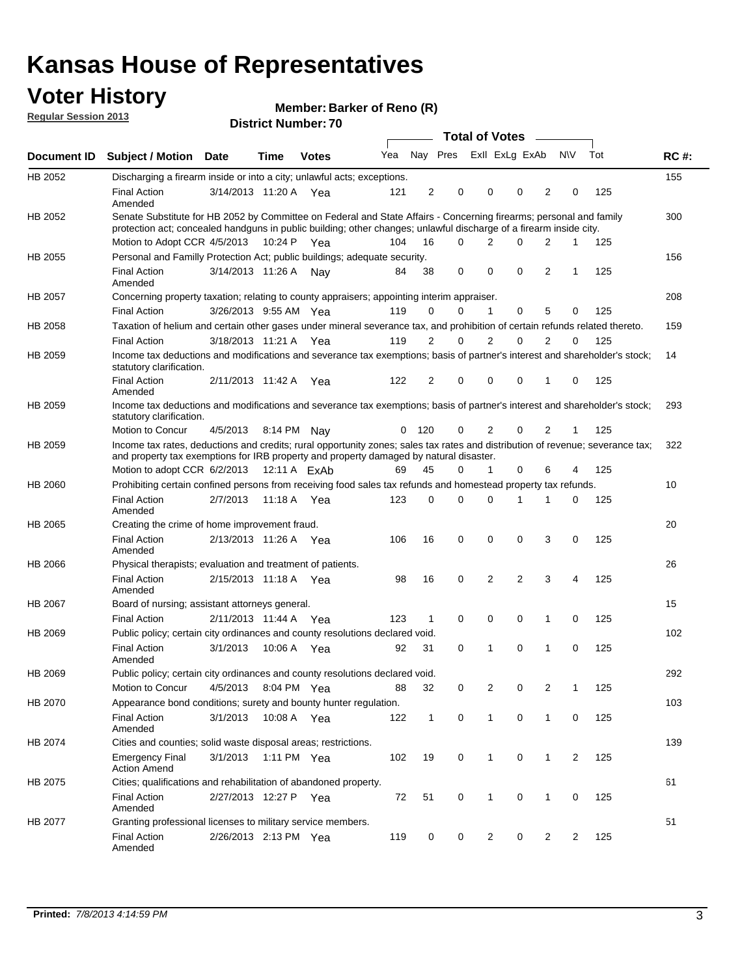## **Voter History**

**Member: Barker of Reno (R)** 

**Regular Session 2013**

| Total of Votes –<br>Nay Pres<br>Exll ExLg ExAb<br><b>NV</b><br>Tot<br>Yea<br>Document ID<br><b>Subject / Motion</b><br>Time<br><b>Votes</b><br>Date<br>HB 2052<br>Discharging a firearm inside or into a city; unlawful acts; exceptions.<br>2<br>0<br>0<br>0<br>$\overline{2}$<br>125<br><b>Final Action</b><br>3/14/2013 11:20 A Yea<br>121<br>0<br>Amended<br>Senate Substitute for HB 2052 by Committee on Federal and State Affairs - Concerning firearms; personal and family<br>HB 2052<br>protection act; concealed handguns in public building; other changes; unlawful discharge of a firearm inside city.<br>Motion to Adopt CCR 4/5/2013 10:24 P Yea<br>104<br>$\Omega$<br>16<br>2<br>0<br>2<br>1<br>125<br>Personal and Familly Protection Act; public buildings; adequate security.<br>HB 2055<br>3/14/2013 11:26 A<br>0<br>$\mathbf 0$<br>0<br>$\overline{2}$<br>125<br><b>Final Action</b><br>38<br>Nav<br>84<br>1<br>Amended<br>HB 2057<br>Concerning property taxation; relating to county appraisers; appointing interim appraiser.<br>5<br><b>Final Action</b><br>3/26/2013 9:55 AM Yea<br>119<br>0<br>0<br>1<br>0<br>125<br>0<br>HB 2058<br>Taxation of helium and certain other gases under mineral severance tax, and prohibition of certain refunds related thereto.<br>2<br>2<br>0<br>2<br>125<br><b>Final Action</b><br>3/18/2013 11:21 A Yea<br>119<br>0<br>0<br>HB 2059<br>Income tax deductions and modifications and severance tax exemptions; basis of partner's interest and shareholder's stock;<br>statutory clarification.<br><b>Final Action</b><br>2/11/2013 11:42 A<br>122<br>2<br>0<br>0<br>0<br>125<br>$\Omega$<br>1<br>Yea<br>Amended<br>HB 2059<br>Income tax deductions and modifications and severance tax exemptions; basis of partner's interest and shareholder's stock;<br>statutory clarification.<br>Motion to Concur<br>120<br>0<br>2<br>$\Omega$<br>2<br>125<br>4/5/2013<br>0<br>8:14 PM Nav<br>1<br>Income tax rates, deductions and credits; rural opportunity zones; sales tax rates and distribution of revenue; severance tax;<br>HB 2059<br>and property tax exemptions for IRB property and property damaged by natural disaster.<br>45<br>$\mathbf{1}$<br>0<br>125<br>Motion to adopt CCR 6/2/2013<br>12:11 A ExAb<br>0<br>6<br>69<br>4<br>Prohibiting certain confined persons from receiving food sales tax refunds and homestead property tax refunds.<br>HB 2060<br><b>Final Action</b><br>0<br>$\Omega$<br>$\Omega$<br>0<br>125<br>2/7/2013<br>11:18 A Yea<br>123<br>1<br>1<br>Amended<br>HB 2065<br>Creating the crime of home improvement fraud. | <b>RC#:</b><br>155<br>300 |
|---------------------------------------------------------------------------------------------------------------------------------------------------------------------------------------------------------------------------------------------------------------------------------------------------------------------------------------------------------------------------------------------------------------------------------------------------------------------------------------------------------------------------------------------------------------------------------------------------------------------------------------------------------------------------------------------------------------------------------------------------------------------------------------------------------------------------------------------------------------------------------------------------------------------------------------------------------------------------------------------------------------------------------------------------------------------------------------------------------------------------------------------------------------------------------------------------------------------------------------------------------------------------------------------------------------------------------------------------------------------------------------------------------------------------------------------------------------------------------------------------------------------------------------------------------------------------------------------------------------------------------------------------------------------------------------------------------------------------------------------------------------------------------------------------------------------------------------------------------------------------------------------------------------------------------------------------------------------------------------------------------------------------------------------------------------------------------------------------------------------------------------------------------------------------------------------------------------------------------------------------------------------------------------------------------------------------------------------------------------------------------------------------------------------------------------------------------------------------------------------------------------------------------------------------------------------------------------------------------------------|---------------------------|
|                                                                                                                                                                                                                                                                                                                                                                                                                                                                                                                                                                                                                                                                                                                                                                                                                                                                                                                                                                                                                                                                                                                                                                                                                                                                                                                                                                                                                                                                                                                                                                                                                                                                                                                                                                                                                                                                                                                                                                                                                                                                                                                                                                                                                                                                                                                                                                                                                                                                                                                                                                                                                     |                           |
|                                                                                                                                                                                                                                                                                                                                                                                                                                                                                                                                                                                                                                                                                                                                                                                                                                                                                                                                                                                                                                                                                                                                                                                                                                                                                                                                                                                                                                                                                                                                                                                                                                                                                                                                                                                                                                                                                                                                                                                                                                                                                                                                                                                                                                                                                                                                                                                                                                                                                                                                                                                                                     |                           |
|                                                                                                                                                                                                                                                                                                                                                                                                                                                                                                                                                                                                                                                                                                                                                                                                                                                                                                                                                                                                                                                                                                                                                                                                                                                                                                                                                                                                                                                                                                                                                                                                                                                                                                                                                                                                                                                                                                                                                                                                                                                                                                                                                                                                                                                                                                                                                                                                                                                                                                                                                                                                                     |                           |
|                                                                                                                                                                                                                                                                                                                                                                                                                                                                                                                                                                                                                                                                                                                                                                                                                                                                                                                                                                                                                                                                                                                                                                                                                                                                                                                                                                                                                                                                                                                                                                                                                                                                                                                                                                                                                                                                                                                                                                                                                                                                                                                                                                                                                                                                                                                                                                                                                                                                                                                                                                                                                     |                           |
|                                                                                                                                                                                                                                                                                                                                                                                                                                                                                                                                                                                                                                                                                                                                                                                                                                                                                                                                                                                                                                                                                                                                                                                                                                                                                                                                                                                                                                                                                                                                                                                                                                                                                                                                                                                                                                                                                                                                                                                                                                                                                                                                                                                                                                                                                                                                                                                                                                                                                                                                                                                                                     |                           |
|                                                                                                                                                                                                                                                                                                                                                                                                                                                                                                                                                                                                                                                                                                                                                                                                                                                                                                                                                                                                                                                                                                                                                                                                                                                                                                                                                                                                                                                                                                                                                                                                                                                                                                                                                                                                                                                                                                                                                                                                                                                                                                                                                                                                                                                                                                                                                                                                                                                                                                                                                                                                                     | 156                       |
|                                                                                                                                                                                                                                                                                                                                                                                                                                                                                                                                                                                                                                                                                                                                                                                                                                                                                                                                                                                                                                                                                                                                                                                                                                                                                                                                                                                                                                                                                                                                                                                                                                                                                                                                                                                                                                                                                                                                                                                                                                                                                                                                                                                                                                                                                                                                                                                                                                                                                                                                                                                                                     |                           |
|                                                                                                                                                                                                                                                                                                                                                                                                                                                                                                                                                                                                                                                                                                                                                                                                                                                                                                                                                                                                                                                                                                                                                                                                                                                                                                                                                                                                                                                                                                                                                                                                                                                                                                                                                                                                                                                                                                                                                                                                                                                                                                                                                                                                                                                                                                                                                                                                                                                                                                                                                                                                                     | 208                       |
|                                                                                                                                                                                                                                                                                                                                                                                                                                                                                                                                                                                                                                                                                                                                                                                                                                                                                                                                                                                                                                                                                                                                                                                                                                                                                                                                                                                                                                                                                                                                                                                                                                                                                                                                                                                                                                                                                                                                                                                                                                                                                                                                                                                                                                                                                                                                                                                                                                                                                                                                                                                                                     |                           |
|                                                                                                                                                                                                                                                                                                                                                                                                                                                                                                                                                                                                                                                                                                                                                                                                                                                                                                                                                                                                                                                                                                                                                                                                                                                                                                                                                                                                                                                                                                                                                                                                                                                                                                                                                                                                                                                                                                                                                                                                                                                                                                                                                                                                                                                                                                                                                                                                                                                                                                                                                                                                                     | 159                       |
|                                                                                                                                                                                                                                                                                                                                                                                                                                                                                                                                                                                                                                                                                                                                                                                                                                                                                                                                                                                                                                                                                                                                                                                                                                                                                                                                                                                                                                                                                                                                                                                                                                                                                                                                                                                                                                                                                                                                                                                                                                                                                                                                                                                                                                                                                                                                                                                                                                                                                                                                                                                                                     |                           |
|                                                                                                                                                                                                                                                                                                                                                                                                                                                                                                                                                                                                                                                                                                                                                                                                                                                                                                                                                                                                                                                                                                                                                                                                                                                                                                                                                                                                                                                                                                                                                                                                                                                                                                                                                                                                                                                                                                                                                                                                                                                                                                                                                                                                                                                                                                                                                                                                                                                                                                                                                                                                                     | 14                        |
|                                                                                                                                                                                                                                                                                                                                                                                                                                                                                                                                                                                                                                                                                                                                                                                                                                                                                                                                                                                                                                                                                                                                                                                                                                                                                                                                                                                                                                                                                                                                                                                                                                                                                                                                                                                                                                                                                                                                                                                                                                                                                                                                                                                                                                                                                                                                                                                                                                                                                                                                                                                                                     |                           |
|                                                                                                                                                                                                                                                                                                                                                                                                                                                                                                                                                                                                                                                                                                                                                                                                                                                                                                                                                                                                                                                                                                                                                                                                                                                                                                                                                                                                                                                                                                                                                                                                                                                                                                                                                                                                                                                                                                                                                                                                                                                                                                                                                                                                                                                                                                                                                                                                                                                                                                                                                                                                                     | 293                       |
|                                                                                                                                                                                                                                                                                                                                                                                                                                                                                                                                                                                                                                                                                                                                                                                                                                                                                                                                                                                                                                                                                                                                                                                                                                                                                                                                                                                                                                                                                                                                                                                                                                                                                                                                                                                                                                                                                                                                                                                                                                                                                                                                                                                                                                                                                                                                                                                                                                                                                                                                                                                                                     |                           |
|                                                                                                                                                                                                                                                                                                                                                                                                                                                                                                                                                                                                                                                                                                                                                                                                                                                                                                                                                                                                                                                                                                                                                                                                                                                                                                                                                                                                                                                                                                                                                                                                                                                                                                                                                                                                                                                                                                                                                                                                                                                                                                                                                                                                                                                                                                                                                                                                                                                                                                                                                                                                                     | 322                       |
|                                                                                                                                                                                                                                                                                                                                                                                                                                                                                                                                                                                                                                                                                                                                                                                                                                                                                                                                                                                                                                                                                                                                                                                                                                                                                                                                                                                                                                                                                                                                                                                                                                                                                                                                                                                                                                                                                                                                                                                                                                                                                                                                                                                                                                                                                                                                                                                                                                                                                                                                                                                                                     |                           |
|                                                                                                                                                                                                                                                                                                                                                                                                                                                                                                                                                                                                                                                                                                                                                                                                                                                                                                                                                                                                                                                                                                                                                                                                                                                                                                                                                                                                                                                                                                                                                                                                                                                                                                                                                                                                                                                                                                                                                                                                                                                                                                                                                                                                                                                                                                                                                                                                                                                                                                                                                                                                                     | 10                        |
|                                                                                                                                                                                                                                                                                                                                                                                                                                                                                                                                                                                                                                                                                                                                                                                                                                                                                                                                                                                                                                                                                                                                                                                                                                                                                                                                                                                                                                                                                                                                                                                                                                                                                                                                                                                                                                                                                                                                                                                                                                                                                                                                                                                                                                                                                                                                                                                                                                                                                                                                                                                                                     |                           |
|                                                                                                                                                                                                                                                                                                                                                                                                                                                                                                                                                                                                                                                                                                                                                                                                                                                                                                                                                                                                                                                                                                                                                                                                                                                                                                                                                                                                                                                                                                                                                                                                                                                                                                                                                                                                                                                                                                                                                                                                                                                                                                                                                                                                                                                                                                                                                                                                                                                                                                                                                                                                                     | 20                        |
| <b>Final Action</b><br>2/13/2013 11:26 A Yea<br>106<br>16<br>$\mathbf 0$<br>$\mathbf 0$<br>0<br>3<br>0<br>125<br>Amended                                                                                                                                                                                                                                                                                                                                                                                                                                                                                                                                                                                                                                                                                                                                                                                                                                                                                                                                                                                                                                                                                                                                                                                                                                                                                                                                                                                                                                                                                                                                                                                                                                                                                                                                                                                                                                                                                                                                                                                                                                                                                                                                                                                                                                                                                                                                                                                                                                                                                            |                           |
| HB 2066<br>Physical therapists; evaluation and treatment of patients.                                                                                                                                                                                                                                                                                                                                                                                                                                                                                                                                                                                                                                                                                                                                                                                                                                                                                                                                                                                                                                                                                                                                                                                                                                                                                                                                                                                                                                                                                                                                                                                                                                                                                                                                                                                                                                                                                                                                                                                                                                                                                                                                                                                                                                                                                                                                                                                                                                                                                                                                               | 26                        |
| $\overline{2}$<br><b>Final Action</b><br>2/15/2013 11:18 A Yea<br>16<br>0<br>2<br>3<br>98<br>4<br>125<br>Amended                                                                                                                                                                                                                                                                                                                                                                                                                                                                                                                                                                                                                                                                                                                                                                                                                                                                                                                                                                                                                                                                                                                                                                                                                                                                                                                                                                                                                                                                                                                                                                                                                                                                                                                                                                                                                                                                                                                                                                                                                                                                                                                                                                                                                                                                                                                                                                                                                                                                                                    |                           |
| HB 2067<br>Board of nursing; assistant attorneys general.                                                                                                                                                                                                                                                                                                                                                                                                                                                                                                                                                                                                                                                                                                                                                                                                                                                                                                                                                                                                                                                                                                                                                                                                                                                                                                                                                                                                                                                                                                                                                                                                                                                                                                                                                                                                                                                                                                                                                                                                                                                                                                                                                                                                                                                                                                                                                                                                                                                                                                                                                           | 15                        |
| $\mathbf 0$<br>2/11/2013 11:44 A Yea<br>123<br>1<br>0<br>0<br>0<br>125<br><b>Final Action</b><br>1                                                                                                                                                                                                                                                                                                                                                                                                                                                                                                                                                                                                                                                                                                                                                                                                                                                                                                                                                                                                                                                                                                                                                                                                                                                                                                                                                                                                                                                                                                                                                                                                                                                                                                                                                                                                                                                                                                                                                                                                                                                                                                                                                                                                                                                                                                                                                                                                                                                                                                                  |                           |
| HB 2069<br>Public policy; certain city ordinances and county resolutions declared void.                                                                                                                                                                                                                                                                                                                                                                                                                                                                                                                                                                                                                                                                                                                                                                                                                                                                                                                                                                                                                                                                                                                                                                                                                                                                                                                                                                                                                                                                                                                                                                                                                                                                                                                                                                                                                                                                                                                                                                                                                                                                                                                                                                                                                                                                                                                                                                                                                                                                                                                             | 102                       |
| $\Omega$<br>$\Omega$<br>125<br><b>Final Action</b><br>3/1/2013<br>10:06 A<br>92<br>31<br>1<br>1<br>$\Omega$<br>Yea<br>Amended                                                                                                                                                                                                                                                                                                                                                                                                                                                                                                                                                                                                                                                                                                                                                                                                                                                                                                                                                                                                                                                                                                                                                                                                                                                                                                                                                                                                                                                                                                                                                                                                                                                                                                                                                                                                                                                                                                                                                                                                                                                                                                                                                                                                                                                                                                                                                                                                                                                                                       |                           |
| HB 2069<br>Public policy; certain city ordinances and county resolutions declared void.                                                                                                                                                                                                                                                                                                                                                                                                                                                                                                                                                                                                                                                                                                                                                                                                                                                                                                                                                                                                                                                                                                                                                                                                                                                                                                                                                                                                                                                                                                                                                                                                                                                                                                                                                                                                                                                                                                                                                                                                                                                                                                                                                                                                                                                                                                                                                                                                                                                                                                                             | 292                       |
| $\overline{2}$<br>$\overline{2}$<br>Motion to Concur<br>4/5/2013<br>8:04 PM Yea<br>88<br>32<br>0<br>0<br>125<br>1                                                                                                                                                                                                                                                                                                                                                                                                                                                                                                                                                                                                                                                                                                                                                                                                                                                                                                                                                                                                                                                                                                                                                                                                                                                                                                                                                                                                                                                                                                                                                                                                                                                                                                                                                                                                                                                                                                                                                                                                                                                                                                                                                                                                                                                                                                                                                                                                                                                                                                   |                           |
| Appearance bond conditions; surety and bounty hunter regulation.<br>HB 2070                                                                                                                                                                                                                                                                                                                                                                                                                                                                                                                                                                                                                                                                                                                                                                                                                                                                                                                                                                                                                                                                                                                                                                                                                                                                                                                                                                                                                                                                                                                                                                                                                                                                                                                                                                                                                                                                                                                                                                                                                                                                                                                                                                                                                                                                                                                                                                                                                                                                                                                                         | 103                       |
| $\mathbf 0$<br><b>Final Action</b><br>3/1/2013<br>10:08 A Yea<br>122<br>$\mathbf{1}$<br>$\mathbf{1}$<br>0<br>$\mathbf{1}$<br>0<br>125<br>Amended                                                                                                                                                                                                                                                                                                                                                                                                                                                                                                                                                                                                                                                                                                                                                                                                                                                                                                                                                                                                                                                                                                                                                                                                                                                                                                                                                                                                                                                                                                                                                                                                                                                                                                                                                                                                                                                                                                                                                                                                                                                                                                                                                                                                                                                                                                                                                                                                                                                                    |                           |
| Cities and counties; solid waste disposal areas; restrictions.<br>HB 2074                                                                                                                                                                                                                                                                                                                                                                                                                                                                                                                                                                                                                                                                                                                                                                                                                                                                                                                                                                                                                                                                                                                                                                                                                                                                                                                                                                                                                                                                                                                                                                                                                                                                                                                                                                                                                                                                                                                                                                                                                                                                                                                                                                                                                                                                                                                                                                                                                                                                                                                                           | 139                       |
| 3/1/2013<br>1:11 PM Yea<br>102<br>19<br>0<br>0<br>2<br>125<br><b>Emergency Final</b><br>1<br>1<br><b>Action Amend</b>                                                                                                                                                                                                                                                                                                                                                                                                                                                                                                                                                                                                                                                                                                                                                                                                                                                                                                                                                                                                                                                                                                                                                                                                                                                                                                                                                                                                                                                                                                                                                                                                                                                                                                                                                                                                                                                                                                                                                                                                                                                                                                                                                                                                                                                                                                                                                                                                                                                                                               |                           |
| HB 2075<br>Cities; qualifications and rehabilitation of abandoned property.                                                                                                                                                                                                                                                                                                                                                                                                                                                                                                                                                                                                                                                                                                                                                                                                                                                                                                                                                                                                                                                                                                                                                                                                                                                                                                                                                                                                                                                                                                                                                                                                                                                                                                                                                                                                                                                                                                                                                                                                                                                                                                                                                                                                                                                                                                                                                                                                                                                                                                                                         | 61                        |
| 2/27/2013 12:27 P<br>0<br>0<br><b>Final Action</b><br>72<br>51<br>1<br>0<br>125<br>1<br>Yea<br>Amended                                                                                                                                                                                                                                                                                                                                                                                                                                                                                                                                                                                                                                                                                                                                                                                                                                                                                                                                                                                                                                                                                                                                                                                                                                                                                                                                                                                                                                                                                                                                                                                                                                                                                                                                                                                                                                                                                                                                                                                                                                                                                                                                                                                                                                                                                                                                                                                                                                                                                                              |                           |
| HB 2077<br>Granting professional licenses to military service members.<br><b>Final Action</b><br>2/26/2013 2:13 PM Yea<br>119<br>0<br>0<br>2<br>0<br>2<br>2<br>125<br>Amended                                                                                                                                                                                                                                                                                                                                                                                                                                                                                                                                                                                                                                                                                                                                                                                                                                                                                                                                                                                                                                                                                                                                                                                                                                                                                                                                                                                                                                                                                                                                                                                                                                                                                                                                                                                                                                                                                                                                                                                                                                                                                                                                                                                                                                                                                                                                                                                                                                       | 51                        |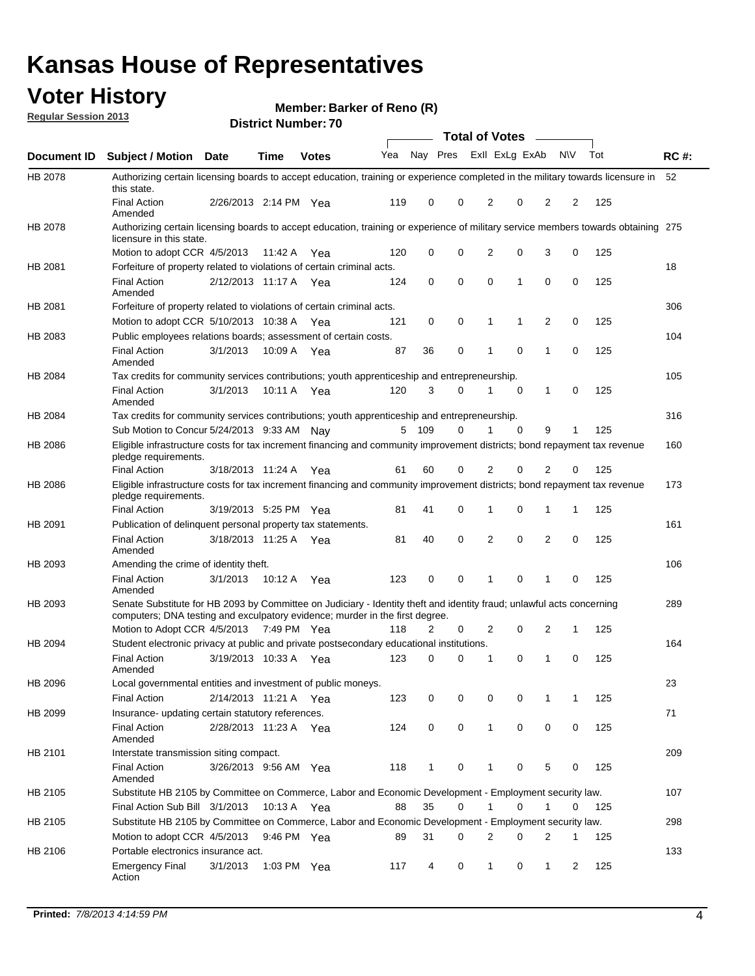## **Voter History**

**Member: Barker of Reno (R)** 

**Regular Session 2013**

|                    |                                                                                                                                                                                                       |                       |             |              |     |          |   | <b>Total of Votes</b> |             |              |           |     |             |
|--------------------|-------------------------------------------------------------------------------------------------------------------------------------------------------------------------------------------------------|-----------------------|-------------|--------------|-----|----------|---|-----------------------|-------------|--------------|-----------|-----|-------------|
| <b>Document ID</b> | Subject / Motion Date                                                                                                                                                                                 |                       | <b>Time</b> | <b>Votes</b> | Yea | Nay Pres |   | Exll ExLg ExAb        |             |              | <b>NV</b> | Tot | <b>RC#:</b> |
| HB 2078            | Authorizing certain licensing boards to accept education, training or experience completed in the military towards licensure in<br>this state.                                                        |                       |             |              |     |          |   |                       |             |              |           |     | 52          |
|                    | <b>Final Action</b><br>Amended                                                                                                                                                                        | 2/26/2013 2:14 PM Yea |             |              | 119 | 0        | 0 | 2                     | 0           | 2            | 2         | 125 |             |
| HB 2078            | Authorizing certain licensing boards to accept education, training or experience of military service members towards obtaining 275<br>licensure in this state.                                        |                       |             |              |     |          |   |                       |             |              |           |     |             |
|                    | Motion to adopt CCR 4/5/2013                                                                                                                                                                          |                       | 11:42 A     | Yea          | 120 | 0        | 0 | 2                     | 0           | 3            | 0         | 125 |             |
| HB 2081            | Forfeiture of property related to violations of certain criminal acts.                                                                                                                                |                       |             |              |     |          |   |                       |             |              |           |     | 18          |
|                    | <b>Final Action</b><br>Amended                                                                                                                                                                        | 2/12/2013 11:17 A Yea |             |              | 124 | 0        | 0 | 0                     | 1           | 0            | 0         | 125 |             |
| HB 2081            | Forfeiture of property related to violations of certain criminal acts.                                                                                                                                |                       |             |              |     |          |   |                       |             |              |           |     | 306         |
|                    | Motion to adopt CCR 5/10/2013 10:38 A                                                                                                                                                                 |                       |             | Yea          | 121 | 0        | 0 | 1                     | 1           | 2            | 0         | 125 |             |
| HB 2083            | Public employees relations boards; assessment of certain costs.                                                                                                                                       |                       |             |              |     |          |   |                       |             |              |           |     | 104         |
|                    | <b>Final Action</b><br>Amended                                                                                                                                                                        | 3/1/2013              | 10:09 A     | Yea          | 87  | 36       | 0 | 1                     | 0           | 1            | 0         | 125 |             |
| HB 2084            | Tax credits for community services contributions; youth apprenticeship and entrepreneurship.                                                                                                          |                       |             |              |     |          |   |                       |             |              |           |     | 105         |
|                    | <b>Final Action</b><br>Amended                                                                                                                                                                        | 3/1/2013              | 10:11 A Yea |              | 120 | 3        | 0 | 1                     | 0           | 1            | 0         | 125 |             |
| HB 2084            | Tax credits for community services contributions; youth apprenticeship and entrepreneurship.                                                                                                          |                       |             |              |     |          |   |                       |             |              |           |     | 316         |
|                    | Sub Motion to Concur 5/24/2013 9:33 AM Nay                                                                                                                                                            |                       |             |              |     | 5 109    | 0 | 1                     | $\mathbf 0$ | 9            | 1         | 125 |             |
| HB 2086            | Eligible infrastructure costs for tax increment financing and community improvement districts; bond repayment tax revenue<br>pledge requirements.                                                     |                       |             |              |     |          |   |                       |             |              |           |     | 160         |
|                    | <b>Final Action</b>                                                                                                                                                                                   | 3/18/2013 11:24 A     |             | Yea          | 61  | 60       | 0 | 2                     | 0           | 2            | 0         | 125 |             |
| HB 2086            | Eligible infrastructure costs for tax increment financing and community improvement districts; bond repayment tax revenue<br>pledge requirements.                                                     |                       |             |              |     |          |   |                       |             |              |           |     | 173         |
|                    | <b>Final Action</b>                                                                                                                                                                                   | 3/19/2013 5:25 PM Yea |             |              | 81  | 41       | 0 | 1                     | 0           | 1            | 1         | 125 |             |
| HB 2091            | Publication of delinquent personal property tax statements.                                                                                                                                           |                       |             |              |     |          |   |                       |             |              |           |     | 161         |
|                    | <b>Final Action</b><br>Amended                                                                                                                                                                        | 3/18/2013 11:25 A     |             | Yea          | 81  | 40       | 0 | 2                     | $\mathbf 0$ | 2            | 0         | 125 |             |
| HB 2093            | Amending the crime of identity theft.                                                                                                                                                                 |                       |             |              |     |          |   |                       |             |              |           |     | 106         |
|                    | <b>Final Action</b><br>Amended                                                                                                                                                                        | 3/1/2013              | 10:12 A Yea |              | 123 | 0        | 0 | 1                     | 0           | 1            | $\Omega$  | 125 |             |
| HB 2093            | Senate Substitute for HB 2093 by Committee on Judiciary - Identity theft and identity fraud; unlawful acts concerning<br>computers; DNA testing and exculpatory evidence; murder in the first degree. |                       |             |              |     |          |   |                       |             |              |           |     | 289         |
|                    | Motion to Adopt CCR 4/5/2013 7:49 PM Yea                                                                                                                                                              |                       |             |              | 118 | 2        | 0 | 2                     | 0           | 2            | 1         | 125 |             |
| HB 2094            | Student electronic privacy at public and private postsecondary educational institutions.                                                                                                              |                       |             |              |     |          |   |                       |             |              |           |     | 164         |
|                    | <b>Final Action</b><br>Amended                                                                                                                                                                        | 3/19/2013 10:33 A     |             | Yea          | 123 | 0        | 0 | 1                     | 0           | 1            | 0         | 125 |             |
| HB 2096            | Local governmental entities and investment of public moneys.                                                                                                                                          |                       |             |              |     |          |   |                       |             |              |           |     | 23          |
|                    | <b>Final Action</b>                                                                                                                                                                                   | 2/14/2013 11:21 A Yea |             |              | 123 | 0        | 0 | 0                     | 0           | 1            | 1         | 125 |             |
| HB 2099            | Insurance- updating certain statutory references.                                                                                                                                                     |                       |             |              |     |          |   |                       |             |              |           |     | 71          |
|                    | <b>Final Action</b><br>Amended                                                                                                                                                                        | 2/28/2013 11:23 A Yea |             |              | 124 | 0        | 0 | $\mathbf{1}$          | 0           | 0            | 0         | 125 |             |
| HB 2101            | Interstate transmission siting compact.                                                                                                                                                               |                       |             |              |     |          |   |                       |             |              |           |     | 209         |
|                    | Final Action<br>Amended                                                                                                                                                                               | 3/26/2013 9:56 AM Yea |             |              | 118 | 1        | 0 | 1                     | 0           | 5            | 0         | 125 |             |
| HB 2105            | Substitute HB 2105 by Committee on Commerce, Labor and Economic Development - Employment security law.                                                                                                |                       |             |              |     |          |   |                       |             |              |           |     | 107         |
|                    | Final Action Sub Bill 3/1/2013                                                                                                                                                                        |                       | 10:13 A Yea |              | 88  | 35       | 0 |                       | 0           | 1            | 0         | 125 |             |
| HB 2105            | Substitute HB 2105 by Committee on Commerce, Labor and Economic Development - Employment security law.                                                                                                |                       |             |              |     |          |   |                       |             |              |           |     | 298         |
|                    | Motion to adopt CCR 4/5/2013                                                                                                                                                                          |                       | 9:46 PM Yea |              | 89  | 31       | 0 | 2                     | 0           | 2            | 1         | 125 |             |
| HB 2106            | Portable electronics insurance act.                                                                                                                                                                   |                       |             |              |     |          |   |                       |             |              |           |     | 133         |
|                    | Emergency Final<br>Action                                                                                                                                                                             | 3/1/2013              | 1:03 PM Yea |              | 117 | 4        | 0 | $\mathbf{1}$          | 0           | $\mathbf{1}$ | 2         | 125 |             |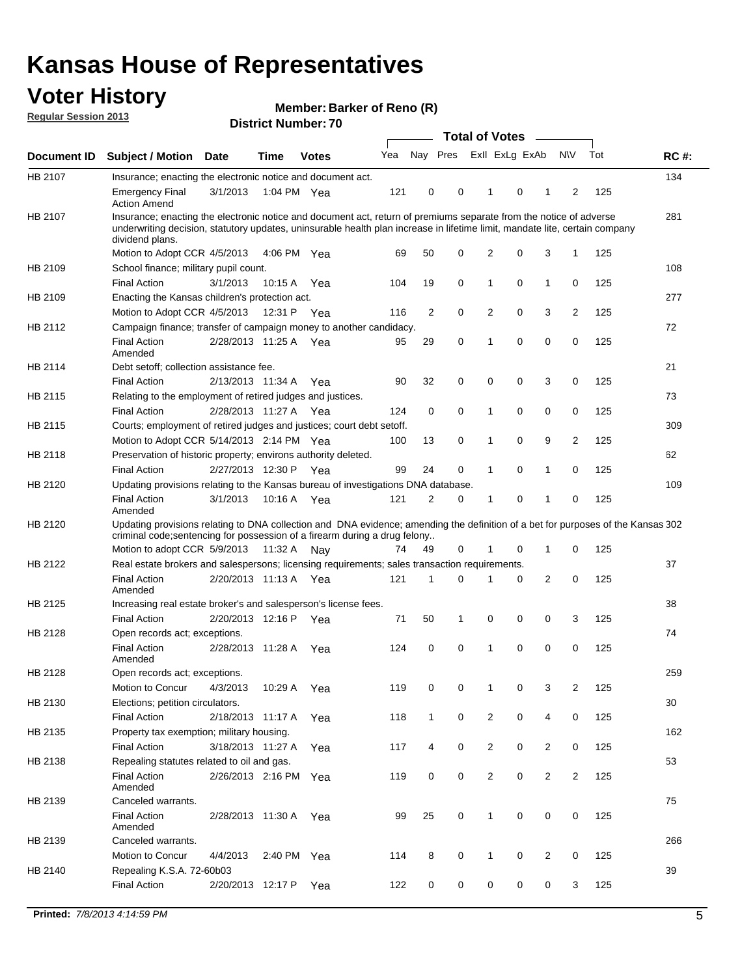## **Voter History**

**Member: Barker of Reno (R)** 

**Regular Session 2013**

|                    |                                                                                                                                                                                                                                                                      |                       |             | PISUILLINUIIIDEL. I U |     |              | Total of Votes – |                |          |                |                |     |             |
|--------------------|----------------------------------------------------------------------------------------------------------------------------------------------------------------------------------------------------------------------------------------------------------------------|-----------------------|-------------|-----------------------|-----|--------------|------------------|----------------|----------|----------------|----------------|-----|-------------|
| <b>Document ID</b> | <b>Subject / Motion</b>                                                                                                                                                                                                                                              | Date                  | <b>Time</b> | <b>Votes</b>          | Yea | Nay Pres     |                  | Exll ExLg ExAb |          |                | <b>NV</b>      | Tot | <b>RC#:</b> |
| HB 2107            | Insurance; enacting the electronic notice and document act.                                                                                                                                                                                                          |                       |             |                       |     |              |                  |                |          |                |                |     | 134         |
|                    | <b>Emergency Final</b><br><b>Action Amend</b>                                                                                                                                                                                                                        | 3/1/2013              |             | 1:04 PM Yea           | 121 | 0            | 0                | $\mathbf 1$    | 0        | 1              | 2              | 125 |             |
| HB 2107            | Insurance; enacting the electronic notice and document act, return of premiums separate from the notice of adverse<br>underwriting decision, statutory updates, uninsurable health plan increase in lifetime limit, mandate lite, certain company<br>dividend plans. |                       |             |                       |     |              |                  |                |          |                |                |     | 281         |
|                    | Motion to Adopt CCR 4/5/2013                                                                                                                                                                                                                                         |                       |             | 4:06 PM Yea           | 69  | 50           | 0                | 2              | 0        | 3              | 1              | 125 |             |
| HB 2109            | School finance; military pupil count.                                                                                                                                                                                                                                |                       |             |                       |     |              |                  |                |          |                |                |     | 108         |
|                    | <b>Final Action</b>                                                                                                                                                                                                                                                  | 3/1/2013              | 10:15 A     | Yea                   | 104 | 19           | 0                | 1              | 0        | $\mathbf{1}$   | 0              | 125 |             |
| HB 2109            | Enacting the Kansas children's protection act.                                                                                                                                                                                                                       |                       |             |                       |     |              |                  |                |          |                |                |     | 277         |
|                    | Motion to Adopt CCR 4/5/2013                                                                                                                                                                                                                                         |                       |             | 12:31 P Yea           | 116 | 2            | 0                | 2              | 0        | 3              | 2              | 125 |             |
| HB 2112            | Campaign finance; transfer of campaign money to another candidacy.                                                                                                                                                                                                   |                       |             |                       |     |              |                  |                |          |                |                |     | 72          |
|                    | <b>Final Action</b><br>Amended                                                                                                                                                                                                                                       | 2/28/2013 11:25 A Yea |             |                       | 95  | 29           | 0                | 1              | 0        | 0              | 0              | 125 |             |
| HB 2114            | Debt setoff; collection assistance fee.                                                                                                                                                                                                                              |                       |             |                       |     |              |                  |                |          |                |                |     | 21          |
|                    | <b>Final Action</b>                                                                                                                                                                                                                                                  | 2/13/2013 11:34 A     |             | Yea                   | 90  | 32           | 0                | 0              | 0        | 3              | 0              | 125 |             |
| HB 2115            | Relating to the employment of retired judges and justices.                                                                                                                                                                                                           |                       |             |                       |     |              |                  |                |          |                |                |     | 73          |
|                    | <b>Final Action</b>                                                                                                                                                                                                                                                  | 2/28/2013 11:27 A     |             | Yea                   | 124 | 0            | 0                | 1              | 0        | 0              | 0              | 125 |             |
| HB 2115            | Courts; employment of retired judges and justices; court debt setoff.                                                                                                                                                                                                |                       |             |                       |     |              |                  |                |          |                |                |     | 309         |
|                    | Motion to Adopt CCR 5/14/2013 2:14 PM Yea                                                                                                                                                                                                                            |                       |             |                       | 100 | 13           | 0                | 1              | 0        | 9              | $\overline{2}$ | 125 |             |
| HB 2118            | Preservation of historic property; environs authority deleted.                                                                                                                                                                                                       |                       |             |                       |     |              |                  |                |          |                |                |     | 62          |
|                    | <b>Final Action</b>                                                                                                                                                                                                                                                  | 2/27/2013 12:30 P     |             | Yea                   | 99  | 24           | 0                | 1              | 0        | 1              | 0              | 125 |             |
| HB 2120            | Updating provisions relating to the Kansas bureau of investigations DNA database.                                                                                                                                                                                    |                       |             |                       |     |              |                  |                |          |                |                |     | 109         |
|                    | <b>Final Action</b><br>Amended                                                                                                                                                                                                                                       | 3/1/2013              | 10:16 A Yea |                       | 121 | 2            | 0                | 1              | 0        | 1              | 0              | 125 |             |
| HB 2120            | Updating provisions relating to DNA collection and DNA evidence; amending the definition of a bet for purposes of the Kansas 302<br>criminal code; sentencing for possession of a firearm during a drug felony<br>Motion to adopt CCR 5/9/2013 11:32 A Nay           |                       |             |                       | 74  | 49           | 0                |                | 0        | 1              | 0              | 125 |             |
| HB 2122            | Real estate brokers and salespersons; licensing requirements; sales transaction requirements.                                                                                                                                                                        |                       |             |                       |     |              |                  |                |          |                |                |     | 37          |
|                    | <b>Final Action</b><br>Amended                                                                                                                                                                                                                                       | 2/20/2013 11:13 A     |             | Yea                   | 121 | 1            | $\Omega$         |                | 0        | 2              | 0              | 125 |             |
| HB 2125            | Increasing real estate broker's and salesperson's license fees.                                                                                                                                                                                                      |                       |             |                       |     |              |                  |                |          |                |                |     | 38          |
|                    | <b>Final Action</b>                                                                                                                                                                                                                                                  | 2/20/2013 12:16 P     |             | Yea                   | 71  | 50           | 1                | 0              | 0        | 0              | 3              | 125 |             |
| HB 2128            | Open records act; exceptions.                                                                                                                                                                                                                                        |                       |             |                       |     |              |                  |                |          |                |                |     | 74          |
|                    | <b>Final Action</b><br>Amended                                                                                                                                                                                                                                       | 2/28/2013 11:28 A     |             | Yea                   | 124 | 0            | 0                | 1              | $\Omega$ | 0              | 0              | 125 |             |
| HB 2128            | Open records act; exceptions.                                                                                                                                                                                                                                        |                       |             |                       |     |              |                  |                |          |                |                |     | 259         |
|                    | Motion to Concur                                                                                                                                                                                                                                                     | 4/3/2013              | 10:29 A     | Yea                   | 119 | 0            | 0                |                | 0        | 3              | 2              | 125 |             |
| HB 2130            | Elections; petition circulators.                                                                                                                                                                                                                                     |                       |             |                       |     |              |                  |                |          |                |                |     | 30          |
|                    | <b>Final Action</b>                                                                                                                                                                                                                                                  | 2/18/2013 11:17 A     |             | Yea                   | 118 | $\mathbf{1}$ | 0                | 2              | 0        | 4              | 0              | 125 |             |
| HB 2135            | Property tax exemption; military housing.                                                                                                                                                                                                                            |                       |             |                       |     |              |                  |                |          |                |                |     | 162         |
|                    | <b>Final Action</b>                                                                                                                                                                                                                                                  | 3/18/2013 11:27 A     |             | Yea                   | 117 | 4            | 0                | 2              | 0        | $\overline{2}$ | 0              | 125 |             |
| HB 2138            | Repealing statutes related to oil and gas.                                                                                                                                                                                                                           |                       |             |                       |     |              |                  |                |          |                |                |     | 53          |
|                    | <b>Final Action</b><br>Amended                                                                                                                                                                                                                                       | 2/26/2013 2:16 PM Yea |             |                       | 119 | 0            | 0                | 2              | 0        | $\overline{2}$ | 2              | 125 |             |
| HB 2139            | Canceled warrants.                                                                                                                                                                                                                                                   |                       |             |                       |     |              |                  |                |          |                |                |     | 75          |
|                    | <b>Final Action</b><br>Amended                                                                                                                                                                                                                                       | 2/28/2013 11:30 A     |             | Yea                   | 99  | 25           | 0                | 1              | 0        | 0              | 0              | 125 |             |
| HB 2139            | Canceled warrants.                                                                                                                                                                                                                                                   |                       |             |                       |     |              |                  |                |          |                |                |     | 266         |
|                    | Motion to Concur                                                                                                                                                                                                                                                     | 4/4/2013              | 2:40 PM     | Yea                   | 114 | 8            | 0                | 1              | 0        | 2              | 0              | 125 |             |
| HB 2140            | Repealing K.S.A. 72-60b03                                                                                                                                                                                                                                            |                       |             |                       |     |              |                  |                |          |                |                |     | 39          |
|                    | <b>Final Action</b>                                                                                                                                                                                                                                                  | 2/20/2013 12:17 P     |             | Yea                   | 122 | 0            | 0                | 0              | 0        | 0              | 3              | 125 |             |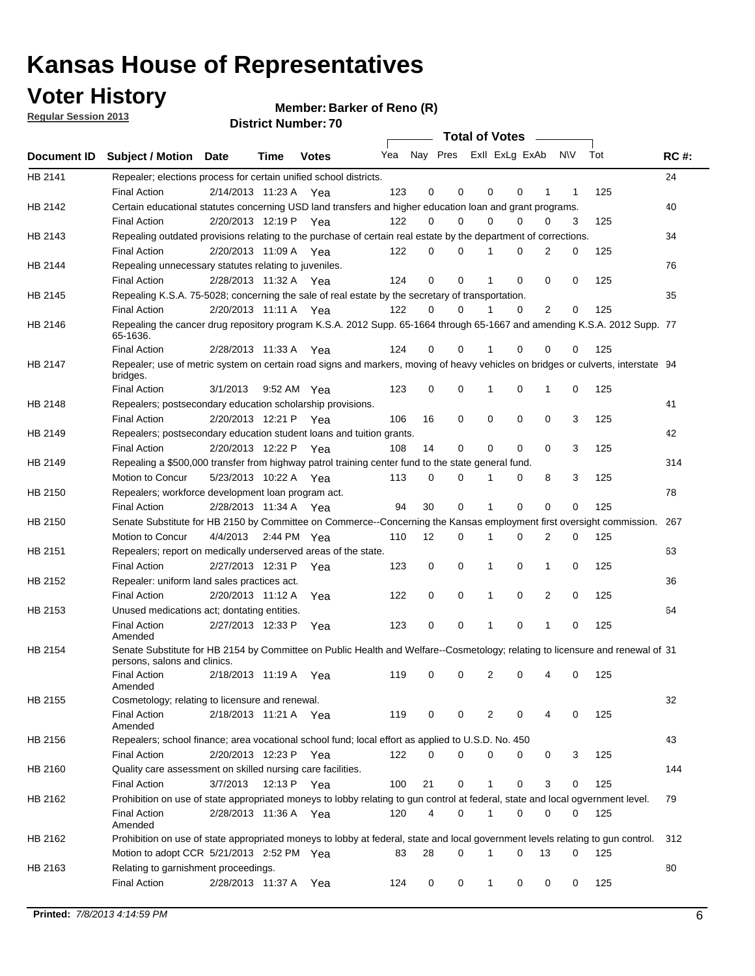**Voter History** 

**Member: Barker of Reno (R)** 

**Regular Session 2013**

|             |                                                                                                                                              |                       |      |              |     |    | <b>Total of Votes</b>   |              |          | $\sim$         |     |     |             |
|-------------|----------------------------------------------------------------------------------------------------------------------------------------------|-----------------------|------|--------------|-----|----|-------------------------|--------------|----------|----------------|-----|-----|-------------|
| Document ID | <b>Subject / Motion Date</b>                                                                                                                 |                       | Time | <b>Votes</b> | Yea |    | Nay Pres Exll ExLg ExAb |              |          |                | N\V | Tot | <b>RC#:</b> |
| HB 2141     | Repealer; elections process for certain unified school districts.                                                                            |                       |      |              |     |    |                         |              |          |                |     |     | 24          |
|             | <b>Final Action</b>                                                                                                                          | 2/14/2013 11:23 A     |      | Yea          | 123 | 0  | 0                       | 0            | 0        | 1              | 1   | 125 |             |
| HB 2142     | Certain educational statutes concerning USD land transfers and higher education loan and grant programs.                                     |                       |      |              |     |    |                         |              |          |                |     |     | 40          |
|             | <b>Final Action</b>                                                                                                                          | 2/20/2013 12:19 P Yea |      |              | 122 | 0  | 0                       | 0            | 0        | 0              | 3   | 125 |             |
| HB 2143     | Repealing outdated provisions relating to the purchase of certain real estate by the department of corrections.                              |                       |      |              |     |    |                         |              |          |                |     |     | 34          |
|             | <b>Final Action</b>                                                                                                                          | 2/20/2013 11:09 A Yea |      |              | 122 | 0  | $\Omega$                | 1            | 0        | 2              | 0   | 125 |             |
| HB 2144     | Repealing unnecessary statutes relating to juveniles.                                                                                        |                       |      |              |     |    |                         |              |          |                |     |     | 76          |
|             | <b>Final Action</b>                                                                                                                          | 2/28/2013 11:32 A Yea |      |              | 124 | 0  | 0                       | 1            | 0        | 0              | 0   | 125 |             |
| HB 2145     | Repealing K.S.A. 75-5028; concerning the sale of real estate by the secretary of transportation.                                             |                       |      |              |     |    |                         |              |          |                |     |     | 35          |
|             | <b>Final Action</b>                                                                                                                          | 2/20/2013 11:11 A Yea |      |              | 122 | 0  | 0                       | 1            | 0        | $\overline{2}$ | 0   | 125 |             |
| HB 2146     | Repealing the cancer drug repository program K.S.A. 2012 Supp. 65-1664 through 65-1667 and amending K.S.A. 2012 Supp. 77<br>65-1636.         |                       |      |              |     |    |                         |              |          |                |     |     |             |
|             | <b>Final Action</b>                                                                                                                          | 2/28/2013 11:33 A     |      | Yea          | 124 | 0  | 0                       |              | 0        | 0              | 0   | 125 |             |
| HB 2147     | Repealer; use of metric system on certain road signs and markers, moving of heavy vehicles on bridges or culverts, interstate 94<br>bridges. |                       |      |              |     |    |                         |              |          |                |     |     |             |
|             | <b>Final Action</b>                                                                                                                          | 3/1/2013              |      | 9:52 AM Yea  | 123 | 0  | 0                       | 1            | 0        | 1              | 0   | 125 |             |
| HB 2148     | Repealers; postsecondary education scholarship provisions.                                                                                   |                       |      |              |     |    |                         |              |          |                |     |     | 41          |
|             | <b>Final Action</b>                                                                                                                          | 2/20/2013 12:21 P Yea |      |              | 106 | 16 | 0                       | 0            | 0        | 0              | 3   | 125 |             |
| HB 2149     | Repealers; postsecondary education student loans and tuition grants.                                                                         |                       |      |              |     |    |                         |              |          |                |     |     | 42          |
|             | <b>Final Action</b>                                                                                                                          | 2/20/2013 12:22 P     |      | Yea          | 108 | 14 | 0                       | 0            | $\Omega$ | 0              | 3   | 125 |             |
| HB 2149     | Repealing a \$500,000 transfer from highway patrol training center fund to the state general fund.                                           |                       |      |              |     |    |                         |              |          |                |     |     | 314         |
|             | Motion to Concur                                                                                                                             | 5/23/2013 10:22 A Yea |      |              | 113 | 0  | 0                       |              | 0        | 8              | 3   | 125 |             |
| HB 2150     | Repealers; workforce development loan program act.                                                                                           |                       |      |              |     |    |                         |              |          |                |     |     | 78          |
|             | <b>Final Action</b>                                                                                                                          | 2/28/2013 11:34 A Yea |      |              | 94  | 30 | 0                       | 1            | 0        | 0              | 0   | 125 |             |
| HB 2150     | Senate Substitute for HB 2150 by Committee on Commerce--Concerning the Kansas employment first oversight commission.                         |                       |      |              |     |    |                         |              |          |                |     |     | 267         |
|             | Motion to Concur                                                                                                                             | 4/4/2013              |      | 2:44 PM Yea  | 110 | 12 | 0                       | 1            | 0        | 2              | 0   | 125 |             |
| HB 2151     | Repealers; report on medically underserved areas of the state.                                                                               |                       |      |              |     |    |                         |              |          |                |     |     | 63          |
|             | <b>Final Action</b>                                                                                                                          | 2/27/2013 12:31 P     |      | Yea          | 123 | 0  | 0                       | 1            | 0        | $\mathbf{1}$   | 0   | 125 |             |
| HB 2152     | Repealer: uniform land sales practices act.                                                                                                  |                       |      |              |     |    |                         |              |          |                |     |     | 36          |
|             | <b>Final Action</b>                                                                                                                          | 2/20/2013 11:12 A     |      | Yea          | 122 | 0  | 0                       | 1            | 0        | 2              | 0   | 125 |             |
| HB 2153     | Unused medications act; dontating entities.                                                                                                  |                       |      |              |     |    |                         |              |          |                |     |     | 64          |
|             | <b>Final Action</b><br>Amended                                                                                                               | 2/27/2013 12:33 P     |      | Yea          | 123 | 0  | 0                       | 1            | 0        | 1              | 0   | 125 |             |
| HB 2154     | Senate Substitute for HB 2154 by Committee on Public Health and Welfare--Cosmetology; relating to licensure and renewal of 31                |                       |      |              |     |    |                         |              |          |                |     |     |             |
|             | persons, salons and clinics.                                                                                                                 |                       |      |              |     |    |                         |              |          |                |     |     |             |
|             | <b>Final Action</b><br>Amended                                                                                                               | 2/18/2013 11:19 A     |      | Yea          | 119 | 0  | 0                       | 2            | 0        |                | 0   | 125 |             |
| HB 2155     | Cosmetology; relating to licensure and renewal.                                                                                              |                       |      |              |     |    |                         |              |          |                |     |     | 32          |
|             | <b>Final Action</b><br>Amended                                                                                                               | 2/18/2013 11:21 A Yea |      |              | 119 | 0  | 0                       | 2            | 0        | 4              | 0   | 125 |             |
| HB 2156     | Repealers; school finance; area vocational school fund; local effort as applied to U.S.D. No. 450                                            |                       |      |              |     |    |                         |              |          |                |     |     | 43          |
|             | <b>Final Action</b>                                                                                                                          | 2/20/2013 12:23 P Yea |      |              | 122 | 0  | 0                       | 0            | 0        | 0              | 3   | 125 |             |
| HB 2160     | Quality care assessment on skilled nursing care facilities.                                                                                  |                       |      |              |     |    |                         |              |          |                |     |     | 144         |
|             | <b>Final Action</b>                                                                                                                          | 3/7/2013              |      | 12:13 P Yea  | 100 | 21 | 0                       | $\mathbf{1}$ | 0        | 3              | 0   | 125 |             |
|             |                                                                                                                                              |                       |      |              |     |    |                         |              |          |                |     |     |             |
| HB 2162     | Prohibition on use of state appropriated moneys to lobby relating to gun control at federal, state and local ogvernment level.               |                       |      |              |     |    |                         |              |          |                |     |     | 79          |
|             | <b>Final Action</b><br>Amended                                                                                                               | 2/28/2013 11:36 A Yea |      |              | 120 | 4  | 0                       | 1            | 0        | 0              | 0   | 125 |             |
| HB 2162     | Prohibition on use of state appropriated moneys to lobby at federal, state and local government levels relating to gun control.              |                       |      |              |     |    |                         |              |          |                |     |     | 312         |
|             | Motion to adopt CCR 5/21/2013 2:52 PM Yea                                                                                                    |                       |      |              | 83  | 28 | $\Omega$                |              | 0        | 13             | 0   | 125 |             |
| HB 2163     | Relating to garnishment proceedings.                                                                                                         |                       |      |              |     |    |                         |              |          |                |     |     | 80          |
|             | <b>Final Action</b>                                                                                                                          | 2/28/2013 11:37 A Yea |      |              | 124 | 0  | 0                       | $\mathbf 1$  | 0        | 0              | 0   | 125 |             |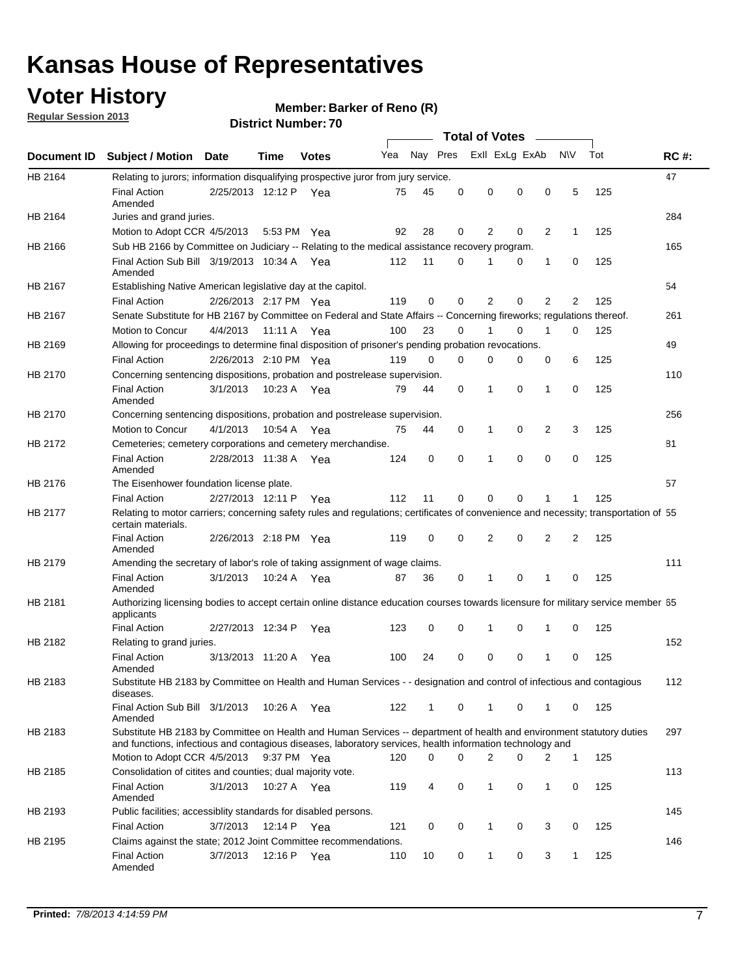## **Voter History**

**Member: Barker of Reno (R)** 

**Regular Session 2013**

|             |                                                                                                                                                                                                                                    |                       |             |              |     |             |          | <b>Total of Votes</b>   |          | $\sim$         |     |     |             |
|-------------|------------------------------------------------------------------------------------------------------------------------------------------------------------------------------------------------------------------------------------|-----------------------|-------------|--------------|-----|-------------|----------|-------------------------|----------|----------------|-----|-----|-------------|
| Document ID | <b>Subject / Motion Date</b>                                                                                                                                                                                                       |                       | <b>Time</b> | <b>Votes</b> | Yea |             |          | Nay Pres Exll ExLg ExAb |          |                | N\V | Tot | <b>RC#:</b> |
| HB 2164     | Relating to jurors; information disqualifying prospective juror from jury service.                                                                                                                                                 |                       |             |              |     |             |          |                         |          |                |     |     | 47          |
|             | <b>Final Action</b>                                                                                                                                                                                                                | 2/25/2013 12:12 P Yea |             |              | 75  | 45          | 0        | 0                       | 0        | 0              | 5   | 125 |             |
| HB 2164     | Amended                                                                                                                                                                                                                            |                       |             |              |     |             |          |                         |          |                |     |     | 284         |
|             | Juries and grand juries.<br>Motion to Adopt CCR 4/5/2013                                                                                                                                                                           |                       | 5:53 PM Yea |              | 92  | 28          | 0        | $\overline{2}$          | 0        | $\overline{2}$ | 1   | 125 |             |
| HB 2166     | Sub HB 2166 by Committee on Judiciary -- Relating to the medical assistance recovery program.                                                                                                                                      |                       |             |              |     |             |          |                         |          |                |     |     | 165         |
|             | Final Action Sub Bill 3/19/2013 10:34 A Yea                                                                                                                                                                                        |                       |             |              | 112 | 11          | 0        |                         | 0        | 1              | 0   | 125 |             |
|             | Amended                                                                                                                                                                                                                            |                       |             |              |     |             |          |                         |          |                |     |     |             |
| HB 2167     | Establishing Native American legislative day at the capitol.                                                                                                                                                                       |                       |             |              |     |             |          |                         |          |                |     |     | 54          |
|             | <b>Final Action</b>                                                                                                                                                                                                                | 2/26/2013 2:17 PM Yea |             |              | 119 | 0           | 0        | $\overline{2}$          | 0        | $\overline{2}$ | 2   | 125 |             |
| HB 2167     | Senate Substitute for HB 2167 by Committee on Federal and State Affairs -- Concerning fireworks; regulations thereof.                                                                                                              |                       |             |              |     |             |          |                         |          |                |     |     | 261         |
|             | Motion to Concur                                                                                                                                                                                                                   | 4/4/2013              | 11:11 A Yea |              | 100 | 23          | 0        | 1                       | 0        | 1              | 0   | 125 |             |
| HB 2169     | Allowing for proceedings to determine final disposition of prisoner's pending probation revocations.                                                                                                                               |                       |             |              |     |             |          |                         |          |                |     |     | 49          |
|             | <b>Final Action</b>                                                                                                                                                                                                                | 2/26/2013 2:10 PM Yea |             |              | 119 | 0           | 0        | 0                       | 0        | 0              | 6   | 125 |             |
| HB 2170     | Concerning sentencing dispositions, probation and postrelease supervision.                                                                                                                                                         |                       |             |              |     |             |          |                         |          |                |     |     | 110         |
|             | <b>Final Action</b><br>Amended                                                                                                                                                                                                     | 3/1/2013              | 10:23 A Yea |              | 79  | 44          | 0        | 1                       | 0        | 1              | 0   | 125 |             |
| HB 2170     | Concerning sentencing dispositions, probation and postrelease supervision.                                                                                                                                                         |                       |             |              |     |             |          |                         |          |                |     |     | 256         |
|             | Motion to Concur                                                                                                                                                                                                                   | 4/1/2013              | 10:54 A Yea |              | 75  | 44          | 0        | 1                       | 0        | 2              | 3   | 125 |             |
| HB 2172     | Cemeteries; cemetery corporations and cemetery merchandise.                                                                                                                                                                        |                       |             |              |     |             |          |                         |          |                |     |     | 81          |
|             | <b>Final Action</b><br>Amended                                                                                                                                                                                                     | 2/28/2013 11:38 A Yea |             |              | 124 | $\mathbf 0$ | $\Omega$ |                         | $\Omega$ | $\Omega$       | 0   | 125 |             |
| HB 2176     | The Eisenhower foundation license plate.                                                                                                                                                                                           |                       |             |              |     |             |          |                         |          |                |     |     | 57          |
|             | <b>Final Action</b>                                                                                                                                                                                                                | 2/27/2013 12:11 P     |             | Yea          | 112 | 11          | 0        | 0                       | 0        |                | 1   | 125 |             |
| HB 2177     | Relating to motor carriers; concerning safety rules and regulations; certificates of convenience and necessity; transportation of 55<br>certain materials.                                                                         |                       |             |              |     |             |          |                         |          |                |     |     |             |
|             | <b>Final Action</b><br>Amended                                                                                                                                                                                                     | 2/26/2013 2:18 PM Yea |             |              | 119 | 0           | 0        | $\overline{2}$          | 0        | 2              | 2   | 125 |             |
| HB 2179     | Amending the secretary of labor's role of taking assignment of wage claims.                                                                                                                                                        |                       |             |              |     |             |          |                         |          |                |     |     | 111         |
|             | <b>Final Action</b><br>Amended                                                                                                                                                                                                     | 3/1/2013              | 10:24 A Yea |              | 87  | 36          | 0        | 1                       | 0        | 1              | 0   | 125 |             |
| HB 2181     | Authorizing licensing bodies to accept certain online distance education courses towards licensure for military service member 55<br>applicants                                                                                    |                       |             |              |     |             |          |                         |          |                |     |     |             |
|             | <b>Final Action</b>                                                                                                                                                                                                                | 2/27/2013 12:34 P     |             | Yea          | 123 | 0           | 0        | 1                       | 0        | 1              | 0   | 125 |             |
| HB 2182     | Relating to grand juries.                                                                                                                                                                                                          |                       |             |              |     |             |          |                         |          |                |     |     | 152         |
|             | <b>Final Action</b><br>Amended                                                                                                                                                                                                     | 3/13/2013 11:20 A     |             | Yea          | 100 | 24          | 0        | 0                       | 0        | 1              | 0   | 125 |             |
| HB 2183     | Substitute HB 2183 by Committee on Health and Human Services - - designation and control of infectious and contagious<br>diseases.                                                                                                 |                       |             |              |     |             |          |                         |          |                |     |     | 112         |
|             | Final Action Sub Bill 3/1/2013<br>Amended                                                                                                                                                                                          |                       | 10:26 A Yea |              | 122 | 1           | 0        | $\mathbf{1}$            | 0        | 1              | 0   | 125 |             |
| HB 2183     | Substitute HB 2183 by Committee on Health and Human Services -- department of health and environment statutory duties<br>and functions, infectious and contagious diseases, laboratory services, health information technology and |                       |             |              |     |             |          |                         |          |                |     |     | 297         |
|             | Motion to Adopt CCR 4/5/2013                                                                                                                                                                                                       |                       | 9:37 PM Yea |              | 120 | 0           | 0        | 2                       | 0        | 2              | 1   | 125 |             |
| HB 2185     | Consolidation of citites and counties; dual majority vote.                                                                                                                                                                         |                       |             |              |     |             |          |                         |          |                |     |     | 113         |
|             | <b>Final Action</b><br>Amended                                                                                                                                                                                                     | 3/1/2013              | 10:27 A Yea |              | 119 | 4           | 0        | $\mathbf{1}$            | 0        | $\mathbf{1}$   | 0   | 125 |             |
| HB 2193     | Public facilities; accessiblity standards for disabled persons.                                                                                                                                                                    |                       |             |              |     |             |          |                         |          |                |     |     | 145         |
|             | <b>Final Action</b>                                                                                                                                                                                                                | 3/7/2013              | 12:14 P     | Yea          | 121 | 0           | 0        | 1                       | 0        | 3              | 0   | 125 |             |
| HB 2195     | Claims against the state; 2012 Joint Committee recommendations.                                                                                                                                                                    |                       |             |              |     |             |          |                         |          |                |     |     | 146         |
|             | <b>Final Action</b><br>Amended                                                                                                                                                                                                     | 3/7/2013              | 12:16 P Yea |              | 110 | 10          | 0        | 1                       | 0        | 3              | 1   | 125 |             |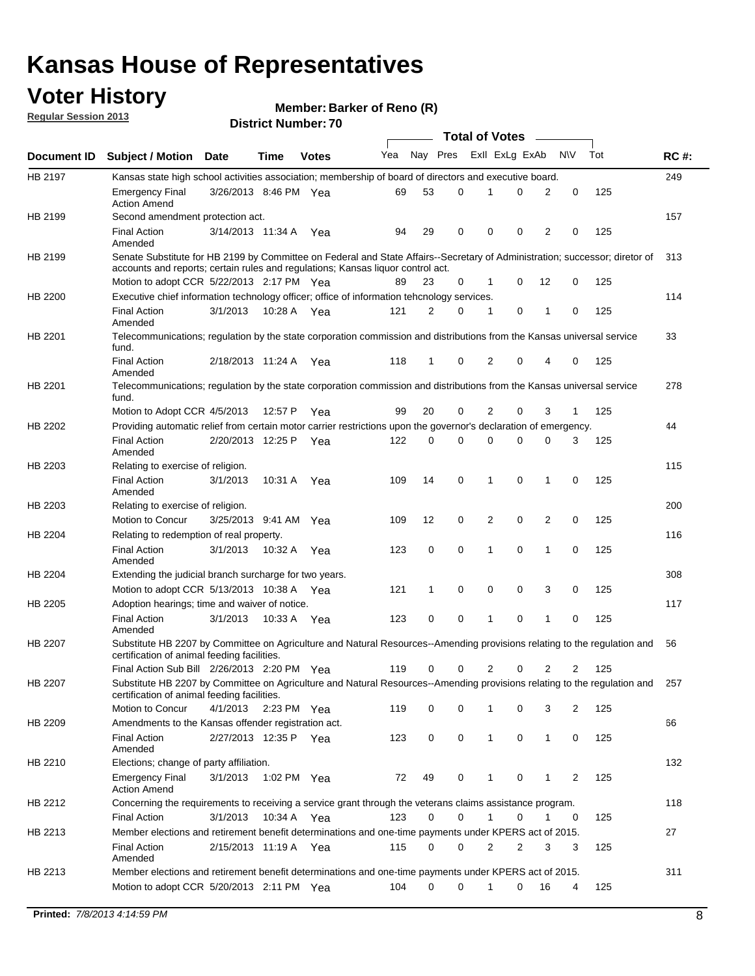## **Voter History**

**Member: Barker of Reno (R)** 

**Regular Session 2013**

|                    |                                                                                                                                                                                                                |                       | ט ז הסעוווטנו ועוווסו |              |     |              | <b>Total of Votes</b> |                |   | $\overline{\phantom{a}}$ |           |     |     |
|--------------------|----------------------------------------------------------------------------------------------------------------------------------------------------------------------------------------------------------------|-----------------------|-----------------------|--------------|-----|--------------|-----------------------|----------------|---|--------------------------|-----------|-----|-----|
| <b>Document ID</b> | <b>Subject / Motion Date</b>                                                                                                                                                                                   |                       | <b>Time</b>           | <b>Votes</b> | Yea | Nay Pres     |                       | Exll ExLg ExAb |   |                          | <b>NV</b> | Tot | RC# |
| HB 2197            | Kansas state high school activities association; membership of board of directors and executive board.                                                                                                         |                       |                       |              |     |              |                       |                |   |                          |           |     | 249 |
|                    | <b>Emergency Final</b><br><b>Action Amend</b>                                                                                                                                                                  | 3/26/2013 8:46 PM Yea |                       |              | 69  | 53           | 0                     | 1              | 0 | 2                        | 0         | 125 |     |
| HB 2199            | Second amendment protection act.                                                                                                                                                                               |                       |                       |              |     |              |                       |                |   |                          |           |     | 157 |
|                    | <b>Final Action</b><br>Amended                                                                                                                                                                                 | 3/14/2013 11:34 A     |                       | Yea          | 94  | 29           | 0                     | 0              | 0 | 2                        | 0         | 125 |     |
| HB 2199            | Senate Substitute for HB 2199 by Committee on Federal and State Affairs--Secretary of Administration; successor; diretor of<br>accounts and reports; certain rules and regulations; Kansas liquor control act. |                       |                       |              |     |              |                       |                |   |                          |           |     | 313 |
|                    | Motion to adopt CCR 5/22/2013 2:17 PM Yea                                                                                                                                                                      |                       |                       |              | 89  | 23           | 0                     | $\mathbf 1$    | 0 | 12                       | 0         | 125 |     |
| HB 2200            | Executive chief information technology officer; office of information tehcnology services.                                                                                                                     |                       |                       |              |     |              |                       |                |   |                          |           |     | 114 |
|                    | <b>Final Action</b><br>Amended                                                                                                                                                                                 | 3/1/2013              | 10:28 A Yea           |              | 121 | 2            | 0                     | 1              | 0 | 1                        | 0         | 125 |     |
| HB 2201            | Telecommunications; regulation by the state corporation commission and distributions from the Kansas universal service<br>fund.                                                                                |                       |                       |              |     |              |                       |                |   |                          |           |     | 33  |
|                    | <b>Final Action</b><br>Amended                                                                                                                                                                                 | 2/18/2013 11:24 A     |                       | Yea          | 118 | 1            | 0                     | 2              | 0 | 4                        | 0         | 125 |     |
| HB 2201            | Telecommunications; regulation by the state corporation commission and distributions from the Kansas universal service<br>fund.                                                                                |                       |                       |              |     |              |                       |                |   |                          |           |     | 278 |
|                    | Motion to Adopt CCR 4/5/2013                                                                                                                                                                                   |                       | 12:57 P               | Yea          | 99  | 20           | 0                     | 2              | 0 | 3                        | 1         | 125 |     |
| HB 2202            | Providing automatic relief from certain motor carrier restrictions upon the governor's declaration of emergency.                                                                                               |                       |                       |              |     |              |                       |                |   |                          |           |     | 44  |
|                    | <b>Final Action</b><br>Amended                                                                                                                                                                                 | 2/20/2013 12:25 P     |                       | Yea          | 122 | 0            | 0                     | $\Omega$       | 0 | 0                        | 3         | 125 |     |
| HB 2203            | Relating to exercise of religion.                                                                                                                                                                              |                       |                       |              |     |              |                       |                |   |                          |           |     | 115 |
|                    | <b>Final Action</b><br>Amended                                                                                                                                                                                 | 3/1/2013              | 10:31 A               | Yea          | 109 | 14           | 0                     | 1              | 0 | 1                        | 0         | 125 |     |
| HB 2203            | Relating to exercise of religion.                                                                                                                                                                              |                       |                       |              |     |              |                       |                |   |                          |           |     | 200 |
|                    | Motion to Concur                                                                                                                                                                                               | 3/25/2013 9:41 AM     |                       | Yea          | 109 | 12           | 0                     | 2              | 0 | 2                        | 0         | 125 |     |
| HB 2204            | Relating to redemption of real property.                                                                                                                                                                       |                       |                       |              |     |              |                       |                |   |                          |           |     | 116 |
|                    | <b>Final Action</b><br>Amended                                                                                                                                                                                 | 3/1/2013              | 10:32 A               | Yea          | 123 | 0            | 0                     | 1              | 0 | 1                        | 0         | 125 |     |
| HB 2204            | Extending the judicial branch surcharge for two years.                                                                                                                                                         |                       |                       |              |     |              |                       |                |   |                          |           |     | 308 |
|                    | Motion to adopt CCR $5/13/2013$ 10:38 A Yea                                                                                                                                                                    |                       |                       |              | 121 | $\mathbf{1}$ | 0                     | 0              | 0 | 3                        | 0         | 125 |     |
| HB 2205            | Adoption hearings; time and waiver of notice.                                                                                                                                                                  |                       |                       |              |     |              |                       |                |   |                          |           |     | 117 |
|                    | <b>Final Action</b><br>Amended                                                                                                                                                                                 | 3/1/2013              | 10:33 A Yea           |              | 123 | 0            | 0                     | 1              | 0 | 1                        | 0         | 125 |     |
| HB 2207            | Substitute HB 2207 by Committee on Agriculture and Natural Resources--Amending provisions relating to the regulation and<br>certification of animal feeding facilities.                                        |                       |                       |              |     |              |                       |                |   |                          |           |     | 56  |
|                    | Final Action Sub Bill 2/26/2013 2:20 PM Yea                                                                                                                                                                    |                       |                       |              | 119 | 0            | 0                     | 2              | 0 | 2                        | 2         | 125 |     |
| HB 2207            | Substitute HB 2207 by Committee on Agriculture and Natural Resources--Amending provisions relating to the regulation and<br>certification of animal feeding facilities.                                        |                       |                       |              |     |              |                       |                |   |                          |           |     | 257 |
|                    | Motion to Concur                                                                                                                                                                                               | 4/1/2013 2:23 PM Yea  |                       |              | 119 | 0            | 0                     | 1              | 0 | 3                        | 2         | 125 |     |
| HB 2209            | Amendments to the Kansas offender registration act.                                                                                                                                                            |                       |                       |              |     |              |                       |                |   |                          |           |     | 66  |
|                    | <b>Final Action</b><br>Amended                                                                                                                                                                                 | 2/27/2013 12:35 P Yea |                       |              | 123 | 0            | 0                     | 1              | 0 | $\mathbf{1}$             | 0         | 125 |     |
| HB 2210            | Elections; change of party affiliation.                                                                                                                                                                        |                       |                       |              |     |              |                       |                |   |                          |           |     | 132 |
|                    | Emergency Final<br><b>Action Amend</b>                                                                                                                                                                         | 3/1/2013              | 1:02 PM Yea           |              | 72  | 49           | 0                     | 1              | 0 | 1                        | 2         | 125 |     |
| HB 2212            | Concerning the requirements to receiving a service grant through the veterans claims assistance program.<br><b>Final Action</b>                                                                                | 3/1/2013              | 10:34 A               | Yea          | 123 | 0            | 0                     | 1              | 0 | 1                        | 0         | 125 | 118 |
| HB 2213            | Member elections and retirement benefit determinations and one-time payments under KPERS act of 2015.                                                                                                          |                       |                       |              |     |              |                       |                |   |                          |           |     | 27  |
|                    | <b>Final Action</b><br>Amended                                                                                                                                                                                 | 2/15/2013 11:19 A Yea |                       |              | 115 | 0            | 0                     | 2              | 2 | 3                        | 3         | 125 |     |
| HB 2213            | Member elections and retirement benefit determinations and one-time payments under KPERS act of 2015.                                                                                                          |                       |                       |              |     |              |                       |                |   |                          |           |     | 311 |
|                    | Motion to adopt CCR 5/20/2013 2:11 PM Yea                                                                                                                                                                      |                       |                       |              | 104 | 0            | 0                     | 1              | 0 | 16                       | 4         | 125 |     |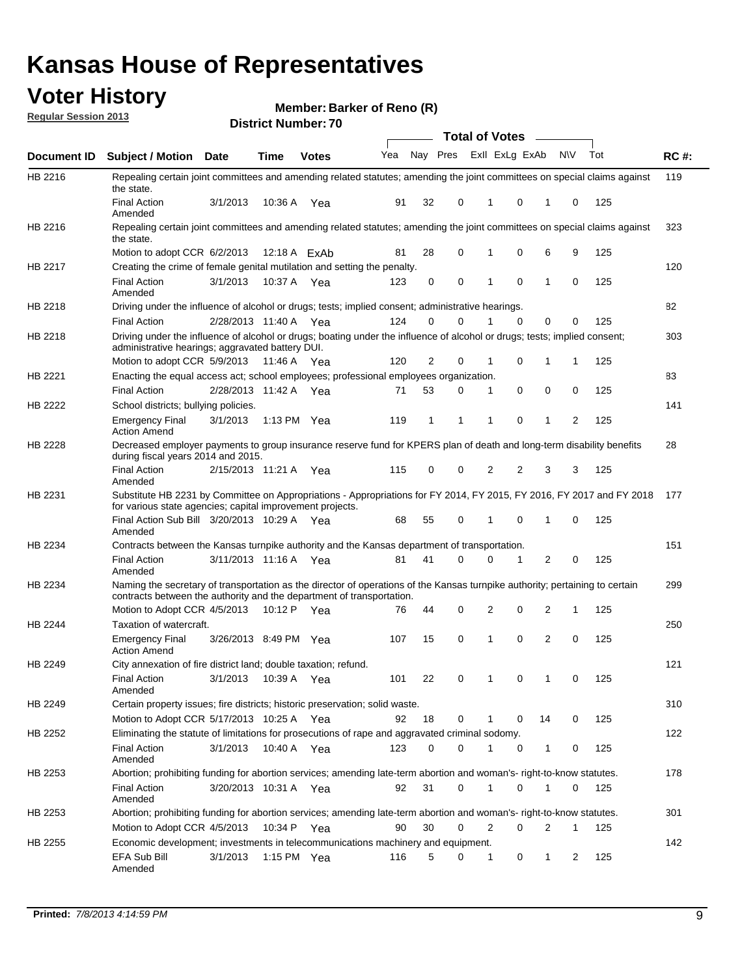## **Voter History**

**Member: Barker of Reno (R)** 

**Regular Session 2013**

|             |                                                                                                                                                                                                               |                       |               |              |     |          |          | <b>Total of Votes</b> |          | $\frac{1}{2}$ |           |     |             |
|-------------|---------------------------------------------------------------------------------------------------------------------------------------------------------------------------------------------------------------|-----------------------|---------------|--------------|-----|----------|----------|-----------------------|----------|---------------|-----------|-----|-------------|
| Document ID | Subject / Motion Date                                                                                                                                                                                         |                       | <b>Time</b>   | <b>Votes</b> | Yea | Nay Pres |          | Exll ExLg ExAb        |          |               | <b>NV</b> | Tot | <b>RC#:</b> |
| HB 2216     | Repealing certain joint committees and amending related statutes; amending the joint committees on special claims against<br>the state.                                                                       |                       |               |              |     |          |          |                       |          |               |           |     | 119         |
|             | <b>Final Action</b><br>Amended                                                                                                                                                                                | 3/1/2013              | 10:36 A       | Yea          | 91  | 32       | 0        | 1                     | 0        | 1             | 0         | 125 |             |
| HB 2216     | Repealing certain joint committees and amending related statutes; amending the joint committees on special claims against<br>the state.                                                                       |                       |               |              |     |          |          |                       |          |               |           |     | 323         |
|             | Motion to adopt CCR 6/2/2013                                                                                                                                                                                  |                       |               | 12:18 A ExAb | 81  | 28       | 0        | 1                     | 0        | 6             | 9         | 125 |             |
| HB 2217     | Creating the crime of female genital mutilation and setting the penalty.                                                                                                                                      |                       |               |              |     |          |          |                       |          |               |           |     | 120         |
|             | <b>Final Action</b><br>Amended                                                                                                                                                                                | 3/1/2013              | 10:37 A Yea   |              | 123 | 0        | 0        | 1                     | 0        | 1             | 0         | 125 |             |
| HB 2218     | Driving under the influence of alcohol or drugs; tests; implied consent; administrative hearings.                                                                                                             |                       |               |              |     |          |          |                       |          |               |           |     | 82          |
|             | <b>Final Action</b>                                                                                                                                                                                           | 2/28/2013 11:40 A Yea |               |              | 124 | 0        | $\Omega$ |                       | $\Omega$ | 0             | 0         | 125 |             |
| HB 2218     | Driving under the influence of alcohol or drugs; boating under the influence of alcohol or drugs; tests; implied consent;<br>administrative hearings; aggravated battery DUI.<br>Motion to adopt CCR 5/9/2013 |                       | 11:46 A Yea   |              | 120 | 2        | 0        | 1                     | 0        | 1             | 1         | 125 | 303         |
| HB 2221     | Enacting the equal access act; school employees; professional employees organization.                                                                                                                         |                       |               |              |     |          |          |                       |          |               |           |     | 83          |
|             | <b>Final Action</b>                                                                                                                                                                                           | 2/28/2013 11:42 A Yea |               |              | 71  | 53       | 0        | 1                     | 0        | 0             | 0         | 125 |             |
|             | School districts; bullying policies.                                                                                                                                                                          |                       |               |              |     |          |          |                       |          |               |           |     | 141         |
| HB 2222     | Emergency Final<br><b>Action Amend</b>                                                                                                                                                                        | 3/1/2013              | 1:13 PM $Yea$ |              | 119 | 1        | 1        | 1                     | 0        | 1             | 2         | 125 |             |
| HB 2228     | Decreased employer payments to group insurance reserve fund for KPERS plan of death and long-term disability benefits<br>during fiscal years 2014 and 2015.                                                   |                       |               |              |     |          |          |                       |          |               |           |     | 28          |
|             | <b>Final Action</b><br>Amended                                                                                                                                                                                | 2/15/2013 11:21 A Yea |               |              | 115 | 0        | 0        | 2                     | 2        | 3             | 3         | 125 |             |
| HB 2231     | Substitute HB 2231 by Committee on Appropriations - Appropriations for FY 2014, FY 2015, FY 2016, FY 2017 and FY 2018 177<br>for various state agencies; capital improvement projects.                        |                       |               |              |     |          |          |                       |          |               |           |     |             |
|             | Final Action Sub Bill 3/20/2013 10:29 A Yea<br>Amended                                                                                                                                                        |                       |               |              | 68  | 55       | 0        | 1                     | 0        | 1             | 0         | 125 |             |
| HB 2234     | Contracts between the Kansas turnpike authority and the Kansas department of transportation.                                                                                                                  |                       |               |              |     |          |          |                       |          |               |           |     | 151         |
|             | <b>Final Action</b><br>Amended                                                                                                                                                                                | 3/11/2013 11:16 A     |               | Yea          | 81  | 41       | 0        | 0                     | 1        | 2             | 0         | 125 |             |
| HB 2234     | Naming the secretary of transportation as the director of operations of the Kansas turnpike authority; pertaining to certain<br>contracts between the authority and the department of transportation.         |                       |               |              |     |          |          |                       |          |               |           |     | 299         |
|             | Motion to Adopt CCR 4/5/2013                                                                                                                                                                                  |                       | 10:12 P Yea   |              | 76  | 44       | 0        | 2                     | 0        | 2             | 1         | 125 |             |
| HB 2244     | Taxation of watercraft.<br><b>Emergency Final</b>                                                                                                                                                             | 3/26/2013 8:49 PM Yea |               |              | 107 | 15       | 0        | 1                     | 0        | 2             | 0         | 125 | 250         |
|             | <b>Action Amend</b>                                                                                                                                                                                           |                       |               |              |     |          |          |                       |          |               |           |     |             |
| HB 2249     | City annexation of fire district land; double taxation; refund.                                                                                                                                               |                       |               |              |     |          |          |                       |          |               |           |     | 121         |
|             | Final Action<br>Amended                                                                                                                                                                                       | 3/1/2013 10:39 A Yea  |               |              | 101 | 22       | 0        | $\mathbf{1}$          | $\cap$   | $\mathbf{1}$  | $\Omega$  | 125 |             |
| HB 2249     | Certain property issues; fire districts; historic preservation; solid waste.                                                                                                                                  |                       |               |              |     |          |          |                       |          |               |           |     | 310         |
|             | Motion to Adopt CCR 5/17/2013 10:25 A Yea                                                                                                                                                                     |                       |               |              | 92  | 18       | 0        |                       | 0        | 14            | 0         | 125 |             |
| HB 2252     | Eliminating the statute of limitations for prosecutions of rape and aggravated criminal sodomy.                                                                                                               |                       |               |              |     |          |          |                       |          |               |           |     | 122         |
|             | <b>Final Action</b>                                                                                                                                                                                           | 3/1/2013              | 10:40 A Yea   |              | 123 | $\Omega$ | 0        |                       | 0        | 1             | 0         | 125 |             |
|             | Amended                                                                                                                                                                                                       |                       |               |              |     |          |          |                       |          |               |           |     |             |
| HB 2253     | Abortion; prohibiting funding for abortion services; amending late-term abortion and woman's- right-to-know statutes.                                                                                         |                       |               |              |     |          |          |                       |          |               |           |     | 178         |
|             | <b>Final Action</b><br>Amended                                                                                                                                                                                | 3/20/2013 10:31 A Yea |               |              | 92  | 31       | 0        | 1                     | 0        | 1             | 0         | 125 |             |
| HB 2253     | Abortion; prohibiting funding for abortion services; amending late-term abortion and woman's- right-to-know statutes.                                                                                         |                       |               |              |     |          |          |                       |          |               |           |     | 301         |
|             | Motion to Adopt CCR 4/5/2013                                                                                                                                                                                  |                       | 10:34 P Yea   |              | 90  | 30       | 0        | 2                     | 0        | 2             | 1         | 125 |             |
| HB 2255     | Economic development; investments in telecommunications machinery and equipment.                                                                                                                              |                       |               |              |     |          |          |                       |          |               |           |     | 142         |
|             | EFA Sub Bill<br>Amended                                                                                                                                                                                       | 3/1/2013              | 1:15 PM Yea   |              | 116 | 5        | 0        | -1                    | 0        | 1             | 2         | 125 |             |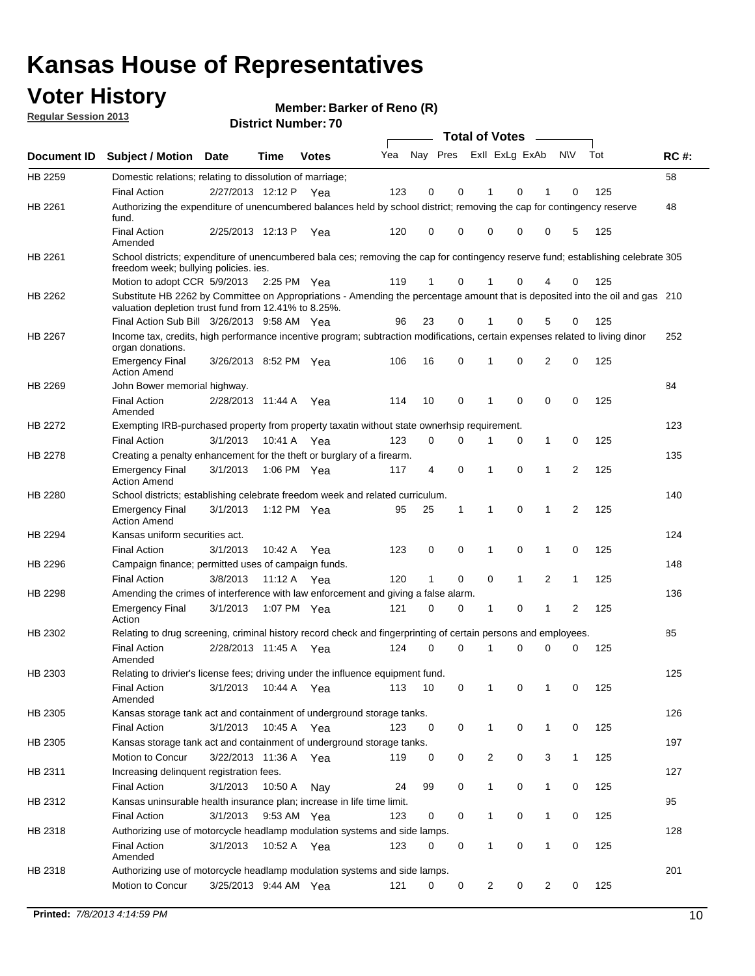## **Voter History**

**Member: Barker of Reno (R)** 

**Regular Session 2013**

|                    |                                                                                                                                                                                       |                       |                       | PISUILLINUIIIDEL. I U |     |          | Total of Votes – |                |                |   |              |                |     |             |
|--------------------|---------------------------------------------------------------------------------------------------------------------------------------------------------------------------------------|-----------------------|-----------------------|-----------------------|-----|----------|------------------|----------------|----------------|---|--------------|----------------|-----|-------------|
| <b>Document ID</b> | <b>Subject / Motion</b>                                                                                                                                                               | Date                  | Time                  | <b>Votes</b>          | Yea | Nay Pres |                  | Exll ExLg ExAb |                |   |              | <b>NV</b>      | Tot | <b>RC#:</b> |
| HB 2259            | Domestic relations; relating to dissolution of marriage;                                                                                                                              |                       |                       |                       |     |          |                  |                |                |   |              |                |     | 58          |
|                    | <b>Final Action</b>                                                                                                                                                                   | 2/27/2013 12:12 P     |                       | Yea                   | 123 | 0        | 0                |                | 1              | 0 | 1            | 0              | 125 |             |
| HB 2261            | Authorizing the expenditure of unencumbered balances held by school district; removing the cap for contingency reserve<br>fund.                                                       |                       |                       |                       |     |          |                  |                |                |   |              |                |     | 48          |
|                    | <b>Final Action</b><br>Amended                                                                                                                                                        | 2/25/2013 12:13 P     |                       | Yea                   | 120 | 0        | 0                |                | 0              | 0 | 0            | 5              | 125 |             |
| HB 2261            | School districts; expenditure of unencumbered bala ces; removing the cap for contingency reserve fund; establishing celebrate 305                                                     |                       |                       |                       |     |          |                  |                |                |   |              |                |     |             |
|                    | freedom week; bullying policies. ies.<br>Motion to adopt CCR 5/9/2013                                                                                                                 |                       | $2:25 \text{ PM}$ Yea |                       | 119 | 1        | 0                |                |                | 0 | 4            | 0              | 125 |             |
| HB 2262            | Substitute HB 2262 by Committee on Appropriations - Amending the percentage amount that is deposited into the oil and gas 210<br>valuation depletion trust fund from 12.41% to 8.25%. |                       |                       |                       |     |          |                  |                |                |   |              |                |     |             |
|                    | Final Action Sub Bill 3/26/2013 9:58 AM Yea                                                                                                                                           |                       |                       |                       | 96  | 23       | 0                |                |                | 0 | 5            | 0              | 125 |             |
| HB 2267            | Income tax, credits, high performance incentive program; subtraction modifications, certain expenses related to living dinor                                                          |                       |                       |                       |     |          |                  |                |                |   |              |                |     | 252         |
|                    | organ donations.<br><b>Emergency Final</b>                                                                                                                                            | 3/26/2013 8:52 PM Yea |                       |                       | 106 | 16       | 0                |                | 1              | 0 | 2            | 0              | 125 |             |
|                    | <b>Action Amend</b>                                                                                                                                                                   |                       |                       |                       |     |          |                  |                |                |   |              |                |     |             |
| HB 2269            | John Bower memorial highway.<br><b>Final Action</b>                                                                                                                                   | 2/28/2013 11:44 A     |                       |                       | 114 | 10       | 0                |                | 1              | 0 | 0            | 0              | 125 | 84          |
|                    | Amended                                                                                                                                                                               |                       |                       | Yea                   |     |          |                  |                |                |   |              |                |     |             |
| HB 2272            | Exempting IRB-purchased property from property taxatin without state ownerhsip requirement.                                                                                           |                       |                       |                       |     |          |                  |                |                |   |              |                |     | 123         |
|                    | <b>Final Action</b>                                                                                                                                                                   | 3/1/2013              | 10:41 A               | Yea                   | 123 | 0        | 0                |                | 1              | 0 | $\mathbf{1}$ | 0              | 125 |             |
| HB 2278            | Creating a penalty enhancement for the theft or burglary of a firearm.                                                                                                                |                       |                       |                       |     |          |                  |                |                |   |              |                |     | 135         |
|                    | <b>Emergency Final</b><br><b>Action Amend</b>                                                                                                                                         | 3/1/2013              | 1:06 PM Yea           |                       | 117 | 4        | 0                |                | 1              | 0 | 1            | $\overline{2}$ | 125 |             |
| HB 2280            | School districts; establishing celebrate freedom week and related curriculum.                                                                                                         |                       |                       |                       |     |          |                  |                |                |   |              |                |     | 140         |
|                    | <b>Emergency Final</b><br><b>Action Amend</b>                                                                                                                                         | 3/1/2013              | 1:12 PM Yea           |                       | 95  | 25       | 1                |                | 1              | 0 | 1            | 2              | 125 |             |
| HB 2294            | Kansas uniform securities act.                                                                                                                                                        |                       |                       |                       |     |          |                  |                |                |   |              |                |     | 124         |
|                    | <b>Final Action</b>                                                                                                                                                                   | 3/1/2013              | 10:42 A               | Yea                   | 123 | 0        | 0                |                | 1              | 0 | 1            | 0              | 125 |             |
| HB 2296            | Campaign finance; permitted uses of campaign funds.                                                                                                                                   |                       |                       |                       |     |          |                  |                |                |   |              |                |     | 148         |
|                    | <b>Final Action</b>                                                                                                                                                                   | 3/8/2013              | 11:12 A               | Yea                   | 120 | 1        | 0                |                | 0              | 1 | 2            | $\mathbf{1}$   | 125 |             |
| HB 2298            | Amending the crimes of interference with law enforcement and giving a false alarm.                                                                                                    |                       |                       |                       |     |          |                  |                |                |   |              |                |     | 136         |
|                    | <b>Emergency Final</b><br>Action                                                                                                                                                      | 3/1/2013              | 1:07 PM Yea           |                       | 121 | 0        | 0                |                | 1              | 0 | 1            | 2              | 125 |             |
| HB 2302            | Relating to drug screening, criminal history record check and fingerprinting of certain persons and employees.                                                                        |                       |                       |                       |     |          |                  |                |                |   |              |                |     | 85          |
|                    | Final Action<br>Amended                                                                                                                                                               | 2/28/2013 11:45 A Yea |                       |                       | 124 | $\Omega$ | $\Omega$         |                | 1              | 0 | 0            | 0              | 125 |             |
| HB 2303            | Relating to drivier's license fees; driving under the influence equipment fund.                                                                                                       |                       |                       |                       |     |          |                  |                |                |   |              |                |     | 125         |
|                    | <b>Final Action</b><br>Amended                                                                                                                                                        | 3/1/2013              | 10:44 A               | Yea                   | 113 | 10       | 0                |                |                | 0 |              | 0              | 125 |             |
| HB 2305            | Kansas storage tank act and containment of underground storage tanks.                                                                                                                 |                       |                       |                       |     |          |                  |                |                |   |              |                |     | 126         |
|                    | <b>Final Action</b>                                                                                                                                                                   | 3/1/2013              | 10:45 A               | Yea                   | 123 | 0        | 0                |                | 1              | 0 | $\mathbf{1}$ | 0              | 125 |             |
| HB 2305            | Kansas storage tank act and containment of underground storage tanks.                                                                                                                 |                       |                       |                       |     |          |                  |                |                |   |              |                |     | 197         |
|                    | Motion to Concur                                                                                                                                                                      | 3/22/2013 11:36 A     |                       | Yea                   | 119 | 0        | 0                |                | $\overline{c}$ | 0 | 3            | $\mathbf{1}$   | 125 |             |
| HB 2311            | Increasing delinquent registration fees.                                                                                                                                              |                       |                       |                       |     |          |                  |                |                |   |              |                |     | 127         |
|                    | <b>Final Action</b>                                                                                                                                                                   | 3/1/2013              | 10:50 A               | Nay                   | 24  | 99       | 0                |                | 1              | 0 | $\mathbf{1}$ | 0              | 125 |             |
| HB 2312            | Kansas uninsurable health insurance plan; increase in life time limit.                                                                                                                |                       |                       |                       |     |          |                  |                |                |   |              |                |     | 95          |
|                    | <b>Final Action</b>                                                                                                                                                                   | 3/1/2013              |                       | 9:53 AM Yea           | 123 | 0        | 0                |                | 1              | 0 | $\mathbf{1}$ | 0              | 125 |             |
| HB 2318            | Authorizing use of motorcycle headlamp modulation systems and side lamps.                                                                                                             |                       |                       |                       |     |          |                  |                |                |   |              |                |     | 128         |
|                    | <b>Final Action</b><br>Amended                                                                                                                                                        | 3/1/2013              | 10:52 A               | Yea                   | 123 | 0        | 0                |                | 1              | 0 | 1            | 0              | 125 |             |
| HB 2318            | Authorizing use of motorcycle headlamp modulation systems and side lamps.                                                                                                             |                       |                       |                       |     |          |                  |                |                |   |              |                |     | 201         |
|                    | Motion to Concur                                                                                                                                                                      | 3/25/2013 9:44 AM Yea |                       |                       | 121 | 0        | 0                |                | 2              | 0 | 2            | 0              | 125 |             |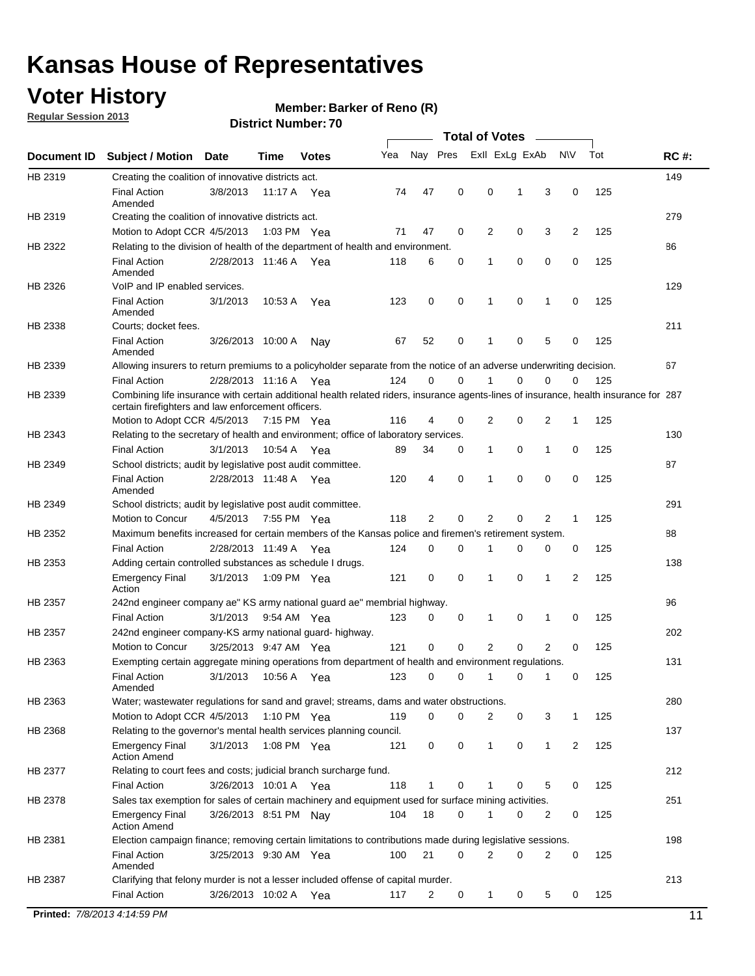## **Voter History**

**Member: Barker of Reno (R)** 

**Regular Session 2013**

|             |                                                                                                                                                                                             |                       |             |               |     |             |             | <b>Total of Votes</b> |   |                |           |     |             |
|-------------|---------------------------------------------------------------------------------------------------------------------------------------------------------------------------------------------|-----------------------|-------------|---------------|-----|-------------|-------------|-----------------------|---|----------------|-----------|-----|-------------|
| Document ID | <b>Subject / Motion</b>                                                                                                                                                                     | <b>Date</b>           | Time        | <b>Votes</b>  | Yea | Nay Pres    |             | Exll ExLg ExAb        |   |                | <b>NV</b> | Tot | <b>RC#:</b> |
| HB 2319     | Creating the coalition of innovative districts act.                                                                                                                                         |                       |             |               |     |             |             |                       |   |                |           |     | 149         |
|             | <b>Final Action</b><br>Amended                                                                                                                                                              | 3/8/2013              | 11:17 A     | Yea           | 74  | 47          | 0           | 0                     | 1 | 3              | 0         | 125 |             |
| HB 2319     | Creating the coalition of innovative districts act.                                                                                                                                         |                       |             |               |     |             |             |                       |   |                |           |     | 279         |
|             | Motion to Adopt CCR 4/5/2013                                                                                                                                                                |                       |             | 1:03 PM Yea   | 71  | 47          | 0           | 2                     | 0 | 3              | 2         | 125 |             |
| HB 2322     | Relating to the division of health of the department of health and environment.                                                                                                             |                       |             |               |     |             |             |                       |   |                |           |     | 86          |
|             | <b>Final Action</b><br>Amended                                                                                                                                                              | 2/28/2013 11:46 A Yea |             |               | 118 | 6           | 0           | 1                     | 0 | 0              | 0         | 125 |             |
| HB 2326     | VoIP and IP enabled services.                                                                                                                                                               |                       |             |               |     |             |             |                       |   |                |           |     | 129         |
|             | <b>Final Action</b><br>Amended                                                                                                                                                              | 3/1/2013              | 10.53 A     | Yea           | 123 | $\mathbf 0$ | 0           | $\mathbf{1}$          | 0 | 1              | 0         | 125 |             |
| HB 2338     | Courts; docket fees.                                                                                                                                                                        |                       |             |               |     |             |             |                       |   |                |           |     | 211         |
|             | <b>Final Action</b><br>Amended                                                                                                                                                              | 3/26/2013 10:00 A     |             | Nav           | 67  | 52          | 0           | $\mathbf 1$           | 0 | 5              | 0         | 125 |             |
| HB 2339     | Allowing insurers to return premiums to a policyholder separate from the notice of an adverse underwriting decision.                                                                        |                       |             |               |     |             |             |                       |   |                |           |     | 67          |
|             | <b>Final Action</b>                                                                                                                                                                         | 2/28/2013 11:16 A Yea |             |               | 124 | 0           | 0           |                       | 0 | 0              | 0         | 125 |             |
| HB 2339     | Combining life insurance with certain additional health related riders, insurance agents-lines of insurance, health insurance for 287<br>certain firefighters and law enforcement officers. |                       |             |               |     |             |             |                       |   |                |           |     |             |
|             | Motion to Adopt CCR 4/5/2013 7:15 PM Yea                                                                                                                                                    |                       |             |               | 116 | 4           | 0           | 2                     | 0 | 2              | -1        | 125 |             |
| HB 2343     | Relating to the secretary of health and environment; office of laboratory services.                                                                                                         |                       |             |               |     |             |             |                       |   |                |           |     | 130         |
|             | <b>Final Action</b>                                                                                                                                                                         | 3/1/2013              | 10:54 A Yea |               | 89  | 34          | 0           | 1                     | 0 | $\mathbf{1}$   | 0         | 125 |             |
| HB 2349     | School districts; audit by legislative post audit committee.                                                                                                                                |                       |             |               |     |             |             |                       |   |                |           |     | 87          |
|             | <b>Final Action</b><br>Amended                                                                                                                                                              | 2/28/2013 11:48 A Yea |             |               | 120 | 4           | $\mathbf 0$ | $\mathbf{1}$          | 0 | $\mathbf 0$    | 0         | 125 |             |
| HB 2349     | School districts; audit by legislative post audit committee.                                                                                                                                |                       |             |               |     |             |             |                       |   |                |           |     | 291         |
|             | Motion to Concur                                                                                                                                                                            | 4/5/2013              |             | 7:55 PM Yea   | 118 | 2           | 0           | 2                     | 0 | 2              | 1         | 125 |             |
| HB 2352     | Maximum benefits increased for certain members of the Kansas police and firemen's retirement system.                                                                                        |                       |             |               |     |             |             |                       |   |                |           |     | 88          |
|             | <b>Final Action</b>                                                                                                                                                                         | 2/28/2013 11:49 A     |             | Yea           | 124 | 0           | 0           | 1                     | 0 | 0              | 0         | 125 |             |
| HB 2353     | Adding certain controlled substances as schedule I drugs.                                                                                                                                   |                       |             |               |     |             |             |                       |   |                |           |     | 138         |
|             | Emergency Final<br>Action                                                                                                                                                                   | 3/1/2013              |             | 1:09 PM Yea   | 121 | 0           | 0           | $\mathbf{1}$          | 0 | 1              | 2         | 125 |             |
| HB 2357     | 242nd engineer company ae" KS army national guard ae" membrial highway.                                                                                                                     |                       |             |               |     |             |             |                       |   |                |           |     | 96          |
|             | <b>Final Action</b>                                                                                                                                                                         | 3/1/2013              |             | 9:54 AM Yea   | 123 | 0           | 0           | 1                     | 0 | 1              | 0         | 125 |             |
| HB 2357     | 242nd engineer company-KS army national guard- highway.                                                                                                                                     |                       |             |               |     |             |             |                       |   |                |           |     | 202         |
|             | Motion to Concur                                                                                                                                                                            | 3/25/2013 9:47 AM Yea |             |               | 121 | $\mathbf 0$ | $\mathbf 0$ | 2                     | 0 | $\overline{2}$ | 0         | 125 |             |
| HB 2363     | Exempting certain aggregate mining operations from department of health and environment regulations.                                                                                        |                       |             |               |     |             |             |                       |   |                |           |     | 131         |
|             | <b>Final Action</b><br>Amended                                                                                                                                                              | 3/1/2013              | 10:56 A     | Yea           | 123 | 0           | 0           | 1                     | 0 | 1              | 0         | 125 |             |
| HB 2363     | Water; wastewater regulations for sand and gravel; streams, dams and water obstructions.                                                                                                    |                       |             |               |     |             |             |                       |   |                |           |     | 280         |
|             | Motion to Adopt CCR 4/5/2013                                                                                                                                                                |                       |             | 1:10 PM $Yea$ | 119 | 0           | 0           | 2                     | 0 | 3              | 1         | 125 |             |
| HB 2368     | Relating to the governor's mental health services planning council.<br>Emergency Final                                                                                                      | 3/1/2013              |             | 1:08 PM Yea   | 121 | 0           | 0           | 1                     | 0 | $\mathbf{1}$   | 2         | 125 | 137         |
|             | Action Amend                                                                                                                                                                                |                       |             |               |     |             |             |                       |   |                |           |     |             |
| HB 2377     | Relating to court fees and costs; judicial branch surcharge fund.                                                                                                                           |                       |             |               |     |             |             |                       |   |                |           |     | 212         |
|             | Final Action                                                                                                                                                                                | 3/26/2013 10:01 A Yea |             |               | 118 | 1           | 0           |                       | 0 | 5              | 0         | 125 |             |
| HB 2378     | Sales tax exemption for sales of certain machinery and equipment used for surface mining activities.                                                                                        |                       |             |               |     |             |             |                       |   |                |           |     | 251         |
|             | Emergency Final<br><b>Action Amend</b>                                                                                                                                                      | 3/26/2013 8:51 PM Nay |             |               | 104 | 18          | 0           | 1                     | 0 | 2              | 0         | 125 |             |
| HB 2381     | Election campaign finance; removing certain limitations to contributions made during legislative sessions.                                                                                  |                       |             |               |     |             |             |                       |   |                |           |     | 198         |
|             | <b>Final Action</b><br>Amended                                                                                                                                                              | 3/25/2013 9:30 AM Yea |             |               | 100 | 21          | 0           | 2                     | 0 | $\overline{2}$ | 0         | 125 |             |
| HB 2387     | Clarifying that felony murder is not a lesser included offense of capital murder.                                                                                                           |                       |             |               |     |             |             |                       |   |                |           |     | 213         |
|             | <b>Final Action</b>                                                                                                                                                                         | 3/26/2013 10:02 A     |             | Yea           | 117 | 2           | 0           | 1                     | 0 | 5              | 0         | 125 |             |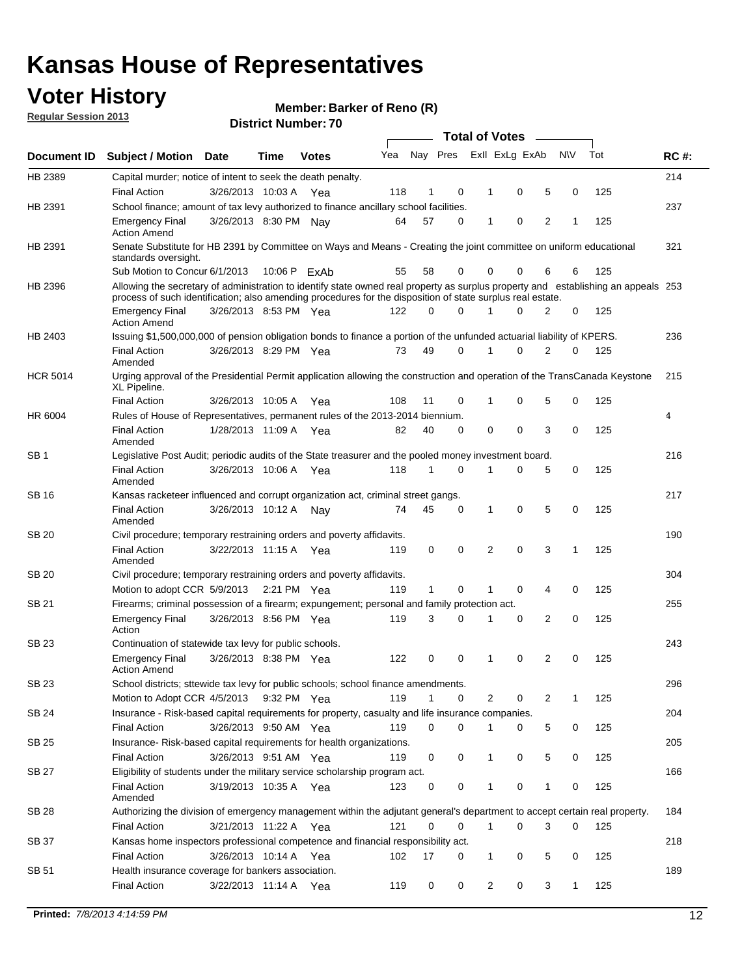## **Voter History**

**Member: Barker of Reno (R)** 

**Regular Session 2013**

|                 |                                                                                                                                                                                                                                                  |                       |      |              |     |              |   | <b>Total of Votes</b> |             |   |              |     |             |
|-----------------|--------------------------------------------------------------------------------------------------------------------------------------------------------------------------------------------------------------------------------------------------|-----------------------|------|--------------|-----|--------------|---|-----------------------|-------------|---|--------------|-----|-------------|
| Document ID     | <b>Subject / Motion</b>                                                                                                                                                                                                                          | <b>Date</b>           | Time | <b>Votes</b> | Yea | Nay Pres     |   | Exll ExLg ExAb        |             |   | <b>NV</b>    | Tot | <b>RC#:</b> |
| HB 2389         | Capital murder; notice of intent to seek the death penalty.                                                                                                                                                                                      |                       |      |              |     |              |   |                       |             |   |              |     | 214         |
|                 | <b>Final Action</b>                                                                                                                                                                                                                              | 3/26/2013 10:03 A     |      | Yea          | 118 | 1            | 0 | 1                     | 0           | 5 | 0            | 125 |             |
| HB 2391         | School finance; amount of tax levy authorized to finance ancillary school facilities.                                                                                                                                                            |                       |      |              |     |              |   |                       |             |   |              |     | 237         |
|                 | <b>Emergency Final</b><br><b>Action Amend</b>                                                                                                                                                                                                    | 3/26/2013 8:30 PM Nay |      |              | 64  | 57           | 0 | $\mathbf{1}$          | 0           | 2 | 1            | 125 |             |
| HB 2391         | Senate Substitute for HB 2391 by Committee on Ways and Means - Creating the joint committee on uniform educational<br>standards oversight.                                                                                                       |                       |      |              |     |              |   |                       |             |   |              |     | 321         |
|                 | Sub Motion to Concur 6/1/2013                                                                                                                                                                                                                    |                       |      | 10:06 P ExAb | 55  | 58           | 0 | 0                     | 0           | 6 | 6            | 125 |             |
| HB 2396         | Allowing the secretary of administration to identify state owned real property as surplus property and establishing an appeals 253<br>process of such identification; also amending procedures for the disposition of state surplus real estate. |                       |      |              |     |              |   |                       |             |   |              |     |             |
|                 | <b>Emergency Final</b><br><b>Action Amend</b>                                                                                                                                                                                                    | 3/26/2013 8:53 PM Yea |      |              | 122 | 0            | 0 | 1                     | 0           | 2 | 0            | 125 |             |
| HB 2403         | Issuing \$1,500,000,000 of pension obligation bonds to finance a portion of the unfunded actuarial liability of KPERS.                                                                                                                           |                       |      |              |     |              |   |                       |             |   |              |     | 236         |
|                 | <b>Final Action</b><br>Amended                                                                                                                                                                                                                   | 3/26/2013 8:29 PM Yea |      |              | 73  | 49           | 0 | 1                     | 0           | 2 | 0            | 125 |             |
| <b>HCR 5014</b> | Urging approval of the Presidential Permit application allowing the construction and operation of the TransCanada Keystone<br>XL Pipeline.                                                                                                       |                       |      |              |     |              |   |                       |             |   |              |     | 215         |
|                 | <b>Final Action</b>                                                                                                                                                                                                                              | 3/26/2013 10:05 A     |      | Yea          | 108 | 11           | 0 |                       | 0           | 5 | 0            | 125 |             |
| HR 6004         | Rules of House of Representatives, permanent rules of the 2013-2014 biennium.                                                                                                                                                                    |                       |      |              |     |              |   |                       |             |   |              |     | 4           |
|                 | <b>Final Action</b><br>Amended                                                                                                                                                                                                                   | 1/28/2013 11:09 A     |      | Yea          | 82  | 40           | 0 | 0                     | 0           | 3 | 0            | 125 |             |
| SB 1            | Legislative Post Audit; periodic audits of the State treasurer and the pooled money investment board.                                                                                                                                            |                       |      |              |     |              |   |                       |             |   |              |     | 216         |
|                 | <b>Final Action</b><br>Amended                                                                                                                                                                                                                   | 3/26/2013 10:06 A     |      | Yea          | 118 | $\mathbf{1}$ | 0 | 1                     | 0           | 5 | 0            | 125 |             |
| SB 16           | Kansas racketeer influenced and corrupt organization act, criminal street gangs.                                                                                                                                                                 |                       |      |              |     |              |   |                       |             |   |              |     | 217         |
|                 | <b>Final Action</b><br>Amended                                                                                                                                                                                                                   | 3/26/2013 10:12 A Nay |      |              | 74  | 45           | 0 | 1                     | $\mathbf 0$ | 5 | 0            | 125 |             |
| SB 20           | Civil procedure; temporary restraining orders and poverty affidavits.                                                                                                                                                                            |                       |      |              |     |              |   |                       |             |   |              |     | 190         |
|                 | <b>Final Action</b><br>Amended                                                                                                                                                                                                                   | 3/22/2013 11:15 A     |      | Yea          | 119 | 0            | 0 | 2                     | 0           | 3 | $\mathbf{1}$ | 125 |             |
| <b>SB 20</b>    | Civil procedure; temporary restraining orders and poverty affidavits.                                                                                                                                                                            |                       |      |              |     |              |   |                       |             |   |              |     | 304         |
|                 | Motion to adopt CCR 5/9/2013 2:21 PM Yea                                                                                                                                                                                                         |                       |      |              | 119 | 1            | 0 | 1                     | 0           | 4 | 0            | 125 |             |
| SB 21           | Firearms; criminal possession of a firearm; expungement; personal and family protection act.                                                                                                                                                     |                       |      |              |     |              |   |                       |             |   |              |     | 255         |
|                 | <b>Emergency Final</b><br>Action                                                                                                                                                                                                                 | 3/26/2013 8:56 PM Yea |      |              | 119 | 3            | 0 | 1                     | 0           | 2 | 0            | 125 |             |
| SB 23           | Continuation of statewide tax levy for public schools.                                                                                                                                                                                           |                       |      |              |     |              |   |                       |             |   |              |     | 243         |
|                 | <b>Emergency Final</b><br><b>Action Amend</b>                                                                                                                                                                                                    | 3/26/2013 8:38 PM Yea |      |              | 122 | 0            | 0 | 1                     | 0           | 2 | 0            | 125 |             |
| <b>SB 23</b>    | School districts; sttewide tax levy for public schools; school finance amendments.                                                                                                                                                               |                       |      |              |     |              |   |                       |             |   |              |     | 296         |
|                 | Motion to Adopt CCR 4/5/2013 9:32 PM Yea                                                                                                                                                                                                         |                       |      |              | 119 | $\mathbf{1}$ | 0 | 2                     | 0           | 2 | 1            | 125 |             |
| <b>SB 24</b>    | Insurance - Risk-based capital requirements for property, casualty and life insurance companies.                                                                                                                                                 |                       |      |              |     |              |   |                       |             |   |              |     | 204         |
|                 | <b>Final Action</b>                                                                                                                                                                                                                              | 3/26/2013 9:50 AM Yea |      |              | 119 | 0            | 0 | 1                     | 0           | 5 | 0            | 125 |             |
| SB 25           | Insurance-Risk-based capital requirements for health organizations.                                                                                                                                                                              |                       |      |              |     |              |   |                       |             |   |              |     | 205         |
|                 | <b>Final Action</b>                                                                                                                                                                                                                              | 3/26/2013 9:51 AM Yea |      |              | 119 | 0            | 0 | 1                     | 0           | 5 | 0            | 125 |             |
| SB 27           | Eligibility of students under the military service scholarship program act.                                                                                                                                                                      |                       |      |              |     |              |   |                       |             |   |              |     | 166         |
|                 | <b>Final Action</b><br>Amended                                                                                                                                                                                                                   | 3/19/2013 10:35 A Yea |      |              | 123 | 0            | 0 |                       | 0           | 1 | 0            | 125 |             |
| SB 28           | Authorizing the division of emergency management within the adjutant general's department to accept certain real property.                                                                                                                       |                       |      |              |     |              |   |                       |             |   |              |     | 184         |
|                 | <b>Final Action</b>                                                                                                                                                                                                                              | 3/21/2013 11:22 A Yea |      |              | 121 | $\Omega$     | 0 | 1                     | 0           | 3 | $\Omega$     | 125 |             |
| SB 37           | Kansas home inspectors professional competence and financial responsibility act.                                                                                                                                                                 |                       |      |              |     |              |   |                       |             |   |              |     | 218         |
|                 | <b>Final Action</b>                                                                                                                                                                                                                              | 3/26/2013 10:14 A Yea |      |              | 102 | 17           | 0 | 1                     | 0           | 5 | 0            | 125 |             |
| SB 51           | Health insurance coverage for bankers association.                                                                                                                                                                                               |                       |      |              |     |              |   |                       |             |   |              |     | 189         |
|                 | <b>Final Action</b>                                                                                                                                                                                                                              | 3/22/2013 11:14 A Yea |      |              | 119 | 0            | 0 | $\overline{2}$        | 0           | 3 | $\mathbf{1}$ | 125 |             |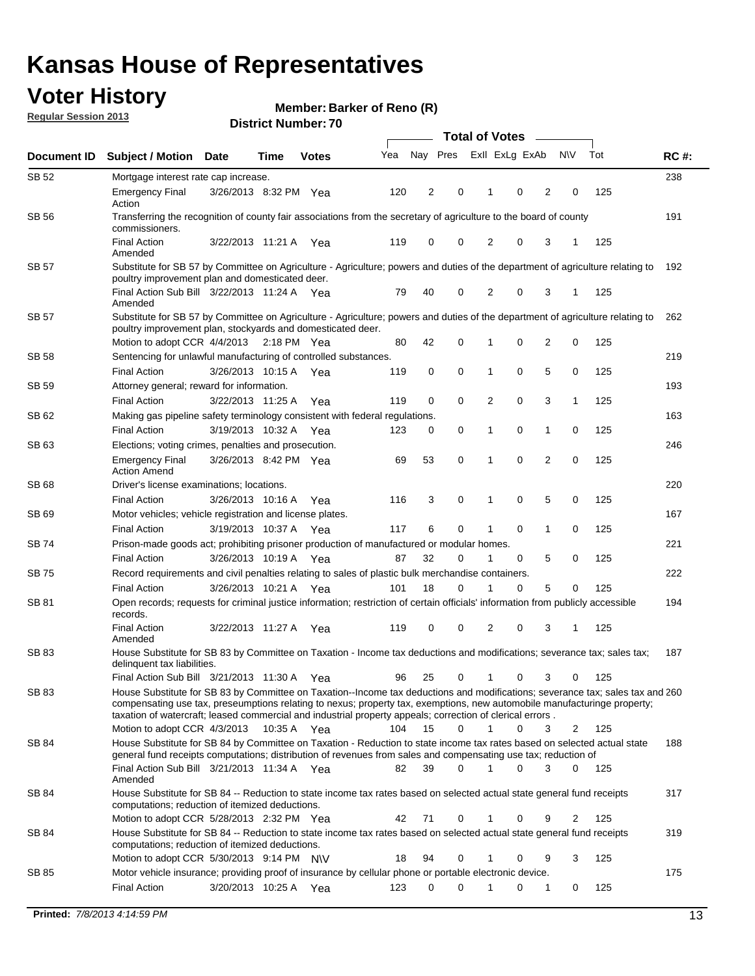## **Voter History**

**Member: Barker of Reno (R)** 

**Regular Session 2013**

|              |                                                                                                                                                                                                                                                                                                                                                                         |                       |      |              |     | <b>Total of Votes</b> |          |                |             |                |                |     |             |  |
|--------------|-------------------------------------------------------------------------------------------------------------------------------------------------------------------------------------------------------------------------------------------------------------------------------------------------------------------------------------------------------------------------|-----------------------|------|--------------|-----|-----------------------|----------|----------------|-------------|----------------|----------------|-----|-------------|--|
| Document ID  | <b>Subject / Motion</b>                                                                                                                                                                                                                                                                                                                                                 | <b>Date</b>           | Time | <b>Votes</b> | Yea | Nay Pres              |          | Exll ExLg ExAb |             |                | <b>NV</b>      | Tot | <b>RC#:</b> |  |
| SB 52        | Mortgage interest rate cap increase.                                                                                                                                                                                                                                                                                                                                    |                       |      |              |     |                       |          |                |             |                |                |     | 238         |  |
|              | <b>Emergency Final</b><br>Action                                                                                                                                                                                                                                                                                                                                        | 3/26/2013 8:32 PM Yea |      |              | 120 | 2                     | 0        |                | 0           | 2              | 0              | 125 |             |  |
| <b>SB 56</b> | Transferring the recognition of county fair associations from the secretary of agriculture to the board of county<br>commissioners.                                                                                                                                                                                                                                     |                       |      |              |     |                       |          |                |             |                |                |     | 191         |  |
|              | <b>Final Action</b><br>Amended                                                                                                                                                                                                                                                                                                                                          | 3/22/2013 11:21 A     |      | Yea          | 119 | 0                     | 0        | 2              | 0           | 3              | 1              | 125 |             |  |
| SB 57        | Substitute for SB 57 by Committee on Agriculture - Agriculture; powers and duties of the department of agriculture relating to<br>poultry improvement plan and domesticated deer.                                                                                                                                                                                       |                       |      |              |     |                       |          |                |             |                |                |     | 192         |  |
|              | Final Action Sub Bill 3/22/2013 11:24 A Yea<br>Amended                                                                                                                                                                                                                                                                                                                  |                       |      |              | 79  | 40                    | 0        | 2              | 0           | 3              | -1             | 125 |             |  |
| SB 57        | Substitute for SB 57 by Committee on Agriculture - Agriculture; powers and duties of the department of agriculture relating to<br>poultry improvement plan, stockyards and domesticated deer.                                                                                                                                                                           |                       |      |              |     |                       |          |                |             |                |                |     | 262         |  |
|              | Motion to adopt CCR 4/4/2013 2:18 PM Yea                                                                                                                                                                                                                                                                                                                                |                       |      |              | 80  | 42                    | 0        | 1              | 0           | $\overline{2}$ | 0              | 125 |             |  |
| SB 58        | Sentencing for unlawful manufacturing of controlled substances.                                                                                                                                                                                                                                                                                                         |                       |      |              |     |                       |          |                |             |                |                |     | 219         |  |
|              | <b>Final Action</b>                                                                                                                                                                                                                                                                                                                                                     | 3/26/2013 10:15 A     |      | Yea          | 119 | 0                     | 0        | 1              | 0           | 5              | 0              | 125 |             |  |
| SB 59        | Attorney general; reward for information.                                                                                                                                                                                                                                                                                                                               |                       |      |              |     |                       |          |                |             |                |                |     | 193         |  |
|              | <b>Final Action</b>                                                                                                                                                                                                                                                                                                                                                     | 3/22/2013 11:25 A     |      | Yea          | 119 | 0                     | 0        | 2              | 0           | 3              | 1              | 125 |             |  |
| SB 62        | Making gas pipeline safety terminology consistent with federal regulations.                                                                                                                                                                                                                                                                                             |                       |      |              |     |                       |          |                |             |                |                |     | 163         |  |
|              | <b>Final Action</b>                                                                                                                                                                                                                                                                                                                                                     | 3/19/2013 10:32 A Yea |      |              | 123 | 0                     | 0        | 1              | 0           | 1              | 0              | 125 |             |  |
| SB 63        | Elections; voting crimes, penalties and prosecution.<br><b>Emergency Final</b><br><b>Action Amend</b>                                                                                                                                                                                                                                                                   | 3/26/2013 8:42 PM Yea |      |              | 69  | 53                    | 0        | 1              | $\mathbf 0$ | $\overline{2}$ | $\mathbf 0$    | 125 | 246         |  |
| <b>SB68</b>  | Driver's license examinations; locations.                                                                                                                                                                                                                                                                                                                               |                       |      |              |     |                       |          |                |             |                |                |     | 220         |  |
|              | <b>Final Action</b>                                                                                                                                                                                                                                                                                                                                                     | 3/26/2013 10:16 A     |      | Yea          | 116 | 3                     | 0        | 1              | 0           | 5              | 0              | 125 |             |  |
| SB 69        | Motor vehicles; vehicle registration and license plates.                                                                                                                                                                                                                                                                                                                |                       |      |              |     |                       |          |                |             |                |                |     | 167         |  |
|              | <b>Final Action</b>                                                                                                                                                                                                                                                                                                                                                     | 3/19/2013 10:37 A     |      | Yea          | 117 | 6                     | 0        | 1              | 0           | 1              | 0              | 125 |             |  |
| SB 74        | Prison-made goods act; prohibiting prisoner production of manufactured or modular homes.                                                                                                                                                                                                                                                                                |                       |      |              |     |                       |          |                |             |                |                |     | 221         |  |
|              | <b>Final Action</b>                                                                                                                                                                                                                                                                                                                                                     | 3/26/2013 10:19 A     |      | Yea          | 87  | 32                    | 0        | 1              | 0           | 5              | 0              | 125 |             |  |
| SB 75        | Record requirements and civil penalties relating to sales of plastic bulk merchandise containers.                                                                                                                                                                                                                                                                       |                       |      |              |     |                       |          |                |             |                |                |     | 222         |  |
|              | <b>Final Action</b>                                                                                                                                                                                                                                                                                                                                                     | 3/26/2013 10:21 A     |      | Yea          | 101 | 18                    | 0        | 1              | 0           | 5              | 0              | 125 |             |  |
| SB 81        | Open records; requests for criminal justice information; restriction of certain officials' information from publicly accessible<br>records.                                                                                                                                                                                                                             |                       |      |              |     |                       |          |                |             |                |                |     | 194         |  |
|              | <b>Final Action</b><br>Amended                                                                                                                                                                                                                                                                                                                                          | 3/22/2013 11:27 A     |      | Yea          | 119 | 0                     | 0        | 2              | 0           | 3              | 1              | 125 |             |  |
| <b>SB 83</b> | House Substitute for SB 83 by Committee on Taxation - Income tax deductions and modifications; severance tax; sales tax;<br>delinquent tax liabilities.                                                                                                                                                                                                                 |                       |      |              |     |                       |          |                |             |                |                |     | 187         |  |
|              | Final Action Sub Bill 3/21/2013 11:30 A Yea                                                                                                                                                                                                                                                                                                                             |                       |      |              | 96  | 25                    | 0        | $\mathbf{1}$   | 0           | 3              | 0              | 125 |             |  |
| SB 83        | House Substitute for SB 83 by Committee on Taxation--Income tax deductions and modifications; severance tax; sales tax and 260<br>compensating use tax, preseumptions relating to nexus; property tax, exemptions, new automobile manufacturinge property;<br>taxation of watercraft; leased commercial and industrial property appeals; correction of clerical errors. |                       |      |              |     |                       |          |                |             |                |                |     |             |  |
|              | Motion to adopt CCR 4/3/2013 10:35 A Yea                                                                                                                                                                                                                                                                                                                                |                       |      |              | 104 | 15                    | 0        | $\mathbf{1}$   | 0           | 3              | 2              | 125 |             |  |
| SB 84        | House Substitute for SB 84 by Committee on Taxation - Reduction to state income tax rates based on selected actual state<br>general fund receipts computations; distribution of revenues from sales and compensating use tax; reduction of<br>Final Action Sub Bill 3/21/2013 11:34 A Yea                                                                               |                       |      |              | 82  | 39                    | $\Omega$ | 1              | $\Omega$    | 3              | $\mathbf{0}$   | 125 | 188         |  |
|              | Amended                                                                                                                                                                                                                                                                                                                                                                 |                       |      |              |     |                       |          |                |             |                |                |     |             |  |
| SB 84        | House Substitute for SB 84 -- Reduction to state income tax rates based on selected actual state general fund receipts<br>computations; reduction of itemized deductions.<br>Motion to adopt CCR 5/28/2013 2:32 PM Yea                                                                                                                                                  |                       |      |              | 42  | 71                    | 0        | 1              | 0           | 9              | $\overline{2}$ | 125 | 317         |  |
| SB 84        | House Substitute for SB 84 -- Reduction to state income tax rates based on selected actual state general fund receipts                                                                                                                                                                                                                                                  |                       |      |              |     |                       |          |                |             |                |                |     | 319         |  |
|              | computations; reduction of itemized deductions.<br>Motion to adopt CCR 5/30/2013 9:14 PM N\V                                                                                                                                                                                                                                                                            |                       |      |              | 18  | 94                    | 0        | 1              | 0           | 9              | 3              | 125 |             |  |
| SB 85        | Motor vehicle insurance; providing proof of insurance by cellular phone or portable electronic device.                                                                                                                                                                                                                                                                  |                       |      |              |     |                       |          |                |             |                |                |     | 175         |  |
|              | <b>Final Action</b>                                                                                                                                                                                                                                                                                                                                                     | 3/20/2013 10:25 A Yea |      |              | 123 | $\Omega$              | $\Omega$ |                | 0           | 1              | 0              | 125 |             |  |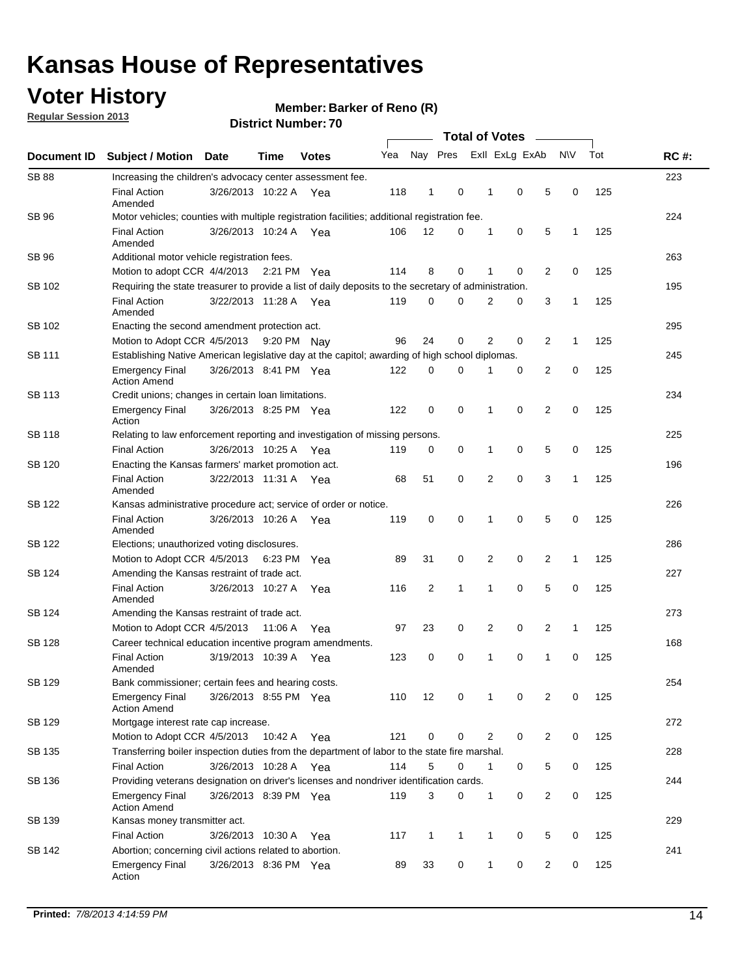## **Voter History**

**Regular Session 2013**

#### **Member: Barker of Reno (R)**

|                    |                                                                                                                                                                                                |                       | <b>DISTICL MUTTINGL.</b> |              |     |              |              |                       |              |                |                |              |     |             |
|--------------------|------------------------------------------------------------------------------------------------------------------------------------------------------------------------------------------------|-----------------------|--------------------------|--------------|-----|--------------|--------------|-----------------------|--------------|----------------|----------------|--------------|-----|-------------|
| <b>Document ID</b> | <b>Subject / Motion</b>                                                                                                                                                                        | <b>Date</b>           | Time                     | <b>Votes</b> | Yea |              | Nay Pres     | <b>Total of Votes</b> |              | Exll ExLg ExAb |                | <b>NV</b>    | Tot | <b>RC#:</b> |
|                    |                                                                                                                                                                                                |                       |                          |              |     |              |              |                       |              |                |                |              |     |             |
| <b>SB88</b>        | Increasing the children's advocacy center assessment fee.                                                                                                                                      |                       |                          |              |     |              |              |                       |              |                |                |              |     | 223         |
|                    | <b>Final Action</b><br>Amended                                                                                                                                                                 | 3/26/2013 10:22 A Yea |                          |              | 118 | 1            | 0            |                       | 1            | 0              | 5              | 0            | 125 |             |
| SB 96              | Motor vehicles; counties with multiple registration facilities; additional registration fee.                                                                                                   |                       |                          |              |     |              |              |                       |              |                |                |              |     | 224         |
|                    | <b>Final Action</b><br>Amended                                                                                                                                                                 | 3/26/2013 10:24 A     |                          | Yea          | 106 | 12           | 0            |                       | 1            | 0              | 5              | 1            | 125 |             |
| SB 96              | Additional motor vehicle registration fees.                                                                                                                                                    |                       |                          |              |     |              |              |                       |              |                |                |              |     | 263         |
|                    | Motion to adopt CCR 4/4/2013 2:21 PM Yea                                                                                                                                                       |                       |                          |              | 114 | 8            | 0            |                       | 1            | 0              | 2              | 0            | 125 |             |
| SB 102             | Requiring the state treasurer to provide a list of daily deposits to the secretary of administration.                                                                                          |                       |                          |              |     |              |              |                       |              |                |                |              |     | 195         |
|                    | <b>Final Action</b><br>Amended                                                                                                                                                                 | 3/22/2013 11:28 A Yea |                          |              | 119 | 0            | 0            |                       | 2            | 0              | 3              | $\mathbf{1}$ | 125 |             |
| SB 102             | Enacting the second amendment protection act.                                                                                                                                                  |                       |                          |              |     |              |              |                       |              |                |                |              |     | 295         |
|                    | Motion to Adopt CCR 4/5/2013                                                                                                                                                                   |                       |                          | 9:20 PM Nav  | 96  | 24           | 0            |                       | 2            | 0              | 2              | $\mathbf{1}$ | 125 |             |
| SB 111             | Establishing Native American legislative day at the capitol; awarding of high school diplomas.                                                                                                 |                       |                          |              |     |              |              |                       |              |                |                |              |     | 245         |
|                    | Emergency Final<br><b>Action Amend</b>                                                                                                                                                         | 3/26/2013 8:41 PM Yea |                          |              | 122 | 0            | 0            |                       | 1            | 0              | 2              | 0            | 125 |             |
| SB 113             | Credit unions; changes in certain loan limitations.                                                                                                                                            |                       |                          |              |     |              |              |                       |              |                |                |              |     | 234         |
|                    | <b>Emergency Final</b><br>Action                                                                                                                                                               | 3/26/2013 8:25 PM Yea |                          |              | 122 | 0            | 0            |                       | 1            | $\mathbf 0$    | $\overline{2}$ | 0            | 125 |             |
| SB 118             | Relating to law enforcement reporting and investigation of missing persons.                                                                                                                    |                       |                          |              |     |              |              |                       |              |                |                |              |     | 225         |
|                    | <b>Final Action</b>                                                                                                                                                                            | 3/26/2013 10:25 A     |                          | Yea          | 119 | 0            | 0            |                       | 1            | 0              | 5              | 0            | 125 |             |
| SB 120             | Enacting the Kansas farmers' market promotion act.                                                                                                                                             |                       |                          |              |     |              |              |                       |              |                |                |              |     | 196         |
|                    | <b>Final Action</b><br>Amended                                                                                                                                                                 | 3/22/2013 11:31 A Yea |                          |              | 68  | 51           | 0            |                       | 2            | $\mathbf 0$    | 3              | 1            | 125 |             |
| SB 122             | Kansas administrative procedure act; service of order or notice.                                                                                                                               |                       |                          |              |     |              |              |                       |              |                |                |              |     | 226         |
|                    | <b>Final Action</b><br>Amended                                                                                                                                                                 | 3/26/2013 10:26 A Yea |                          |              | 119 | 0            | 0            |                       | 1            | 0              | 5              | 0            | 125 |             |
| SB 122             | Elections; unauthorized voting disclosures.                                                                                                                                                    |                       |                          |              |     |              |              |                       |              |                |                |              |     | 286         |
|                    | Motion to Adopt CCR 4/5/2013                                                                                                                                                                   |                       | 6:23 PM                  | Yea          | 89  | 31           | 0            |                       | 2            | 0              | $\overline{2}$ | $\mathbf{1}$ | 125 |             |
| SB 124             | Amending the Kansas restraint of trade act.                                                                                                                                                    |                       |                          |              |     |              |              |                       |              |                |                |              |     | 227         |
|                    | <b>Final Action</b><br>Amended                                                                                                                                                                 | 3/26/2013 10:27 A     |                          | Yea          | 116 | 2            | 1            |                       | 1            | $\mathbf 0$    | 5              | $\mathbf 0$  | 125 |             |
| SB 124             | Amending the Kansas restraint of trade act.                                                                                                                                                    |                       |                          |              |     |              |              |                       |              |                |                |              |     | 273         |
|                    | Motion to Adopt CCR 4/5/2013                                                                                                                                                                   |                       | 11:06 A                  | Yea          | 97  | 23           | 0            |                       | 2            | 0              | 2              | 1            | 125 |             |
| SB 128             | Career technical education incentive program amendments.                                                                                                                                       |                       |                          |              |     |              |              |                       |              |                |                |              |     | 168         |
|                    | <b>Final Action</b><br>Amended                                                                                                                                                                 | 3/19/2013 10:39 A     |                          | Yea          | 123 | 0            | 0            |                       | 1            | 0              | 1              | 0            | 125 |             |
| <b>SB 129</b>      | Bank commissioner; certain fees and hearing costs.                                                                                                                                             |                       |                          |              |     |              | 0            |                       |              | 0              |                | 0            |     | 254         |
| SB 129             | <b>Emergency Final</b><br><b>Action Amend</b><br>Mortgage interest rate cap increase.                                                                                                          | 3/26/2013 8:55 PM Yea |                          |              | 110 | 12           |              |                       | 1            |                | 2              |              | 125 | 272         |
|                    | Motion to Adopt CCR 4/5/2013                                                                                                                                                                   |                       | 10:42 A Yea              |              | 121 | 0            | 0            |                       | 2            | 0              | 2              | 0            | 125 |             |
|                    | Transferring boiler inspection duties from the department of labor to the state fire marshal.                                                                                                  |                       |                          |              |     |              |              |                       |              |                |                |              |     | 228         |
| SB 135             |                                                                                                                                                                                                |                       |                          |              |     |              |              |                       |              |                |                |              |     |             |
| SB 136             | <b>Final Action</b><br>3/26/2013 10:28 A Yea<br>114<br>5<br>0<br>0<br>5<br>0<br>125<br>$\mathbf{1}$<br>Providing veterans designation on driver's licenses and nondriver identification cards. |                       |                          |              |     |              |              |                       |              |                |                | 244          |     |             |
|                    | Emergency Final                                                                                                                                                                                | 3/26/2013 8:39 PM Yea |                          |              | 119 | 3            | 0            |                       | $\mathbf{1}$ | 0              | 2              | 0            | 125 |             |
| SB 139             | <b>Action Amend</b><br>Kansas money transmitter act.                                                                                                                                           |                       |                          |              |     |              |              |                       |              |                |                |              |     | 229         |
|                    | <b>Final Action</b>                                                                                                                                                                            | 3/26/2013 10:30 A Yea |                          |              | 117 | $\mathbf{1}$ | $\mathbf{1}$ |                       | 1            | 0              | 5              | $\mathbf 0$  | 125 |             |
| SB 142             | Abortion; concerning civil actions related to abortion.                                                                                                                                        |                       |                          |              |     |              |              |                       |              |                |                |              |     | 241         |
|                    | <b>Emergency Final</b><br>Action                                                                                                                                                               | 3/26/2013 8:36 PM Yea |                          |              | 89  | 33           | 0            |                       | 1            | 0              | 2              | 0            | 125 |             |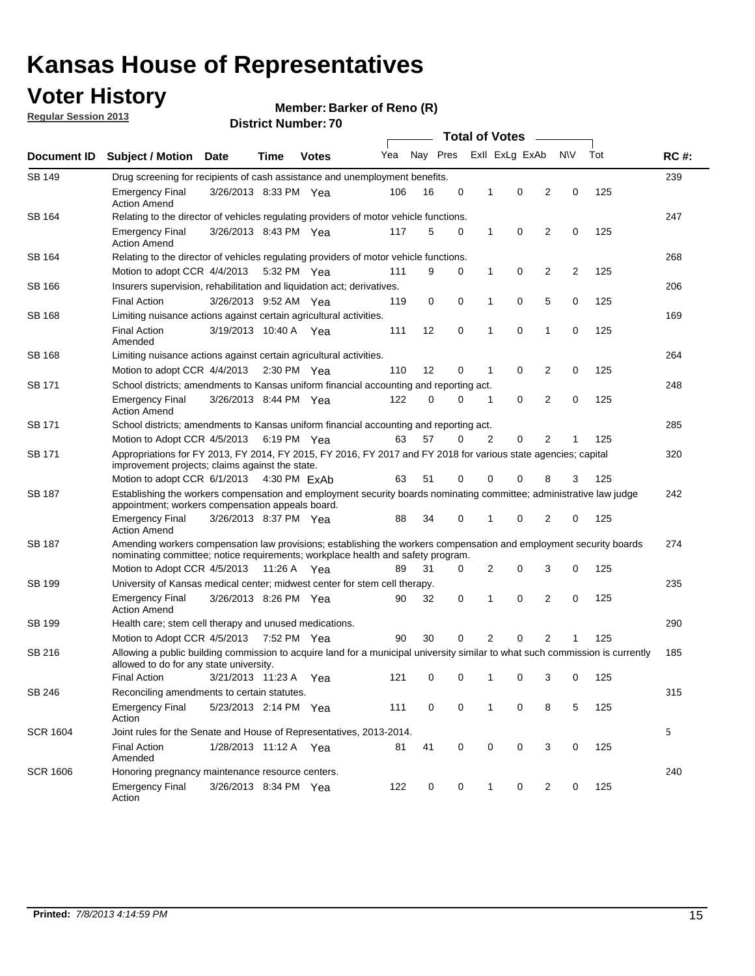## **Voter History**

**Member: Barker of Reno (R)** 

**Regular Session 2013**

| Document ID     |                                                                                                                                                                                                       |                                                                                                                                                                         |             |              |     |          | <b>Total of Votes</b> |   |                | $\sim$         |           |     | <b>RC#:</b> |
|-----------------|-------------------------------------------------------------------------------------------------------------------------------------------------------------------------------------------------------|-------------------------------------------------------------------------------------------------------------------------------------------------------------------------|-------------|--------------|-----|----------|-----------------------|---|----------------|----------------|-----------|-----|-------------|
|                 | <b>Subject / Motion Date</b>                                                                                                                                                                          |                                                                                                                                                                         | Time        | <b>Votes</b> | Yea | Nay Pres |                       |   | Exll ExLg ExAb |                | <b>NV</b> | Tot |             |
| <b>SB 149</b>   | Drug screening for recipients of cash assistance and unemployment benefits.                                                                                                                           |                                                                                                                                                                         |             |              |     |          |                       |   |                |                |           |     | 239         |
|                 | <b>Emergency Final</b><br><b>Action Amend</b>                                                                                                                                                         | 3/26/2013 8:33 PM Yea                                                                                                                                                   |             |              | 106 | 16       | 0                     | 1 | 0              | 2              | 0         | 125 |             |
| SB 164          | Relating to the director of vehicles regulating providers of motor vehicle functions.                                                                                                                 |                                                                                                                                                                         |             |              |     |          |                       |   |                |                |           |     | 247         |
|                 | <b>Emergency Final</b><br><b>Action Amend</b>                                                                                                                                                         | 3/26/2013 8:43 PM Yea                                                                                                                                                   |             |              | 117 | 5        | 0                     | 1 | 0              | 2              | 0         | 125 |             |
| SB 164          | Relating to the director of vehicles regulating providers of motor vehicle functions.                                                                                                                 |                                                                                                                                                                         |             |              |     |          |                       |   |                |                |           |     | 268         |
|                 | Motion to adopt CCR 4/4/2013                                                                                                                                                                          |                                                                                                                                                                         | 5:32 PM Yea |              | 111 | 9        | 0                     | 1 | 0              | 2              | 2         | 125 |             |
| SB 166          | Insurers supervision, rehabilitation and liquidation act; derivatives.                                                                                                                                |                                                                                                                                                                         |             |              |     |          |                       |   |                |                |           |     | 206         |
|                 | <b>Final Action</b>                                                                                                                                                                                   | 3/26/2013 9:52 AM Yea                                                                                                                                                   |             |              | 119 | 0        | 0                     | 1 | 0              | 5              | 0         | 125 |             |
| SB 168          | Limiting nuisance actions against certain agricultural activities.                                                                                                                                    |                                                                                                                                                                         |             |              |     |          |                       |   |                |                |           |     | 169         |
|                 | <b>Final Action</b><br>Amended                                                                                                                                                                        | 3/19/2013 10:40 A Yea                                                                                                                                                   |             |              | 111 | 12       | 0                     | 1 | 0              | 1              | 0         | 125 |             |
| SB 168          | Limiting nuisance actions against certain agricultural activities.                                                                                                                                    |                                                                                                                                                                         |             |              |     |          |                       |   |                |                |           |     | 264         |
|                 | Motion to adopt CCR 4/4/2013                                                                                                                                                                          |                                                                                                                                                                         |             | 2:30 PM Yea  | 110 | 12       | 0                     | 1 | 0              | 2              | 0         | 125 |             |
| <b>SB 171</b>   | School districts; amendments to Kansas uniform financial accounting and reporting act.                                                                                                                |                                                                                                                                                                         |             |              |     |          |                       |   |                |                |           |     | 248         |
|                 | <b>Emergency Final</b><br><b>Action Amend</b>                                                                                                                                                         | 3/26/2013 8:44 PM Yea                                                                                                                                                   |             |              | 122 | 0        | 0                     | 1 | 0              | 2              | 0         | 125 |             |
| SB 171          | School districts; amendments to Kansas uniform financial accounting and reporting act.                                                                                                                |                                                                                                                                                                         |             |              |     |          |                       |   |                |                |           | 285 |             |
|                 | Motion to Adopt CCR 4/5/2013                                                                                                                                                                          |                                                                                                                                                                         | 6:19 PM Yea |              | 63  | 57       | 0                     | 2 | 0              | 2              |           |     |             |
| SB 171          | Appropriations for FY 2013, FY 2014, FY 2015, FY 2016, FY 2017 and FY 2018 for various state agencies; capital<br>improvement projects; claims against the state.                                     |                                                                                                                                                                         |             |              |     |          |                       |   |                |                |           | 320 |             |
|                 | Motion to adopt CCR 6/1/2013 4:30 PM ExAb                                                                                                                                                             |                                                                                                                                                                         |             |              | 63  | 51       | 0                     | 0 | 0              | 8              | 3         | 125 |             |
| SB 187          |                                                                                                                                                                                                       | Establishing the workers compensation and employment security boards nominating committee; administrative law judge<br>appointment; workers compensation appeals board. |             |              |     |          |                       |   |                |                |           |     |             |
|                 | <b>Emergency Final</b><br><b>Action Amend</b>                                                                                                                                                         | 3/26/2013 8:37 PM Yea                                                                                                                                                   |             |              | 88  | 34       | 0                     | 1 | 0              | 2              | 0         | 125 |             |
| SB 187          | Amending workers compensation law provisions; establishing the workers compensation and employment security boards<br>nominating committee; notice requirements; workplace health and safety program. |                                                                                                                                                                         |             |              |     |          |                       |   |                |                |           |     | 274         |
|                 | Motion to Adopt CCR 4/5/2013 11:26 A Yea                                                                                                                                                              |                                                                                                                                                                         |             |              | 89  | 31       | 0                     | 2 | 0              | 3              | 0         | 125 |             |
| SB 199          | University of Kansas medical center; midwest center for stem cell therapy.                                                                                                                            |                                                                                                                                                                         |             |              |     |          |                       |   |                |                |           |     | 235         |
|                 | <b>Emergency Final</b><br><b>Action Amend</b>                                                                                                                                                         | 3/26/2013 8:26 PM Yea                                                                                                                                                   |             |              | 90  | 32       | 0                     | 1 | 0              | 2              | 0         | 125 |             |
| SB 199          | Health care; stem cell therapy and unused medications.                                                                                                                                                |                                                                                                                                                                         |             |              |     |          |                       |   |                |                |           |     | 290         |
|                 | Motion to Adopt CCR 4/5/2013                                                                                                                                                                          |                                                                                                                                                                         | 7:52 PM Yea |              | 90  | 30       | 0                     | 2 | 0              | $\overline{2}$ | 1         | 125 |             |
| SB 216          | Allowing a public building commission to acquire land for a municipal university similar to what such commission is currently<br>allowed to do for any state university.                              |                                                                                                                                                                         |             |              |     |          |                       |   |                |                |           |     | 185         |
|                 | <b>Final Action</b>                                                                                                                                                                                   | 3/21/2013 11:23 A Yea                                                                                                                                                   |             |              | 121 | 0        | 0                     | 1 | 0              | 3              | 0         | 125 |             |
| SB 246          | Reconciling amendments to certain statutes.                                                                                                                                                           |                                                                                                                                                                         |             |              |     |          |                       |   |                |                |           |     | 315         |
|                 | <b>Emergency Final</b><br>Action                                                                                                                                                                      | 5/23/2013 2:14 PM Yea                                                                                                                                                   |             |              | 111 | 0        | 0                     | 1 | 0              | 8              | 5         | 125 |             |
| <b>SCR 1604</b> | Joint rules for the Senate and House of Representatives, 2013-2014.                                                                                                                                   |                                                                                                                                                                         |             |              |     |          |                       |   |                |                |           |     | 5           |
|                 | <b>Final Action</b><br>Amended                                                                                                                                                                        | 1/28/2013 11:12 A Yea                                                                                                                                                   |             |              | 81  | 41       | 0                     | 0 | 0              | 3              | 0         | 125 |             |
| <b>SCR 1606</b> | Honoring pregnancy maintenance resource centers.                                                                                                                                                      |                                                                                                                                                                         |             |              |     |          |                       |   |                |                |           |     | 240         |
|                 | <b>Emergency Final</b><br>Action                                                                                                                                                                      | 3/26/2013 8:34 PM Yea                                                                                                                                                   |             |              | 122 | 0        | 0                     | 1 | 0              | 2              | 0         | 125 |             |